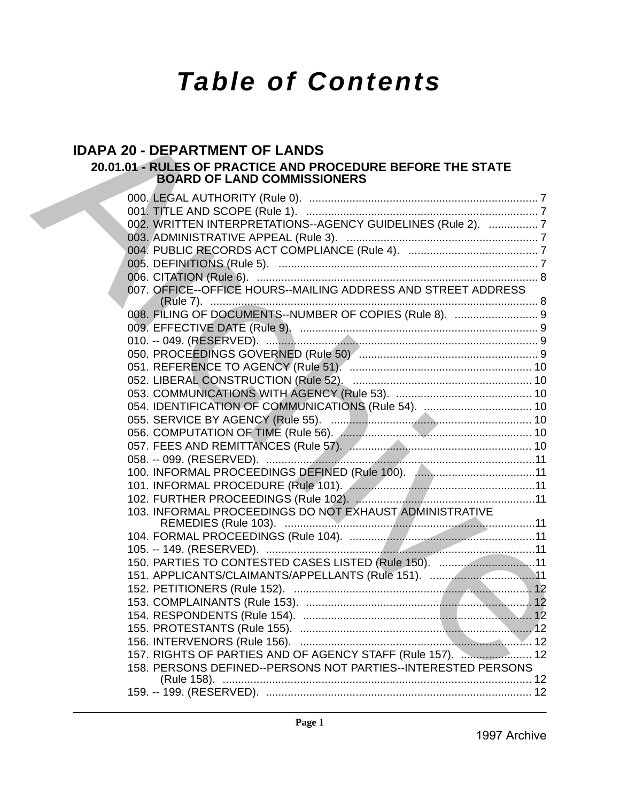# *Table of Contents*

## **IDAPA 20 - DEPARTMENT OF LANDS 20.01.01 - RULES OF PRACTICE AND PROCEDURE BEFORE THE STATE BOARD OF LAND COMMISSIONERS**

| <b>BOARD OF LAND COMMISSIONERS</b>                            |
|---------------------------------------------------------------|
|                                                               |
|                                                               |
| 002. WRITTEN INTERPRETATIONS--AGENCY GUIDELINES (Rule 2).  7  |
|                                                               |
|                                                               |
|                                                               |
| 007. OFFICE--OFFICE HOURS--MAILING ADDRESS AND STREET ADDRESS |
|                                                               |
| 008. FILING OF DOCUMENTS--NUMBER OF COPIES (Rule 8).  9       |
|                                                               |
|                                                               |
|                                                               |
|                                                               |
|                                                               |
|                                                               |
|                                                               |
|                                                               |
|                                                               |
|                                                               |
|                                                               |
|                                                               |
|                                                               |
| 103. INFORMAL PROCEEDINGS DO NOT EXHAUST ADMINISTRATIVE       |
|                                                               |
|                                                               |
|                                                               |
| 150. PARTIES TO CONTESTED CASES LISTED (Rule 150). 11         |
| 151. APPLICANTS/CLAIMANTS/APPELLANTS (Rule 151). 11           |
|                                                               |
|                                                               |
|                                                               |
|                                                               |
| 157. RIGHTS OF PARTIES AND OF AGENCY STAFF (Rule 157).  12    |
| 158. PERSONS DEFINED--PERSONS NOT PARTIES--INTERESTED PERSONS |
|                                                               |
|                                                               |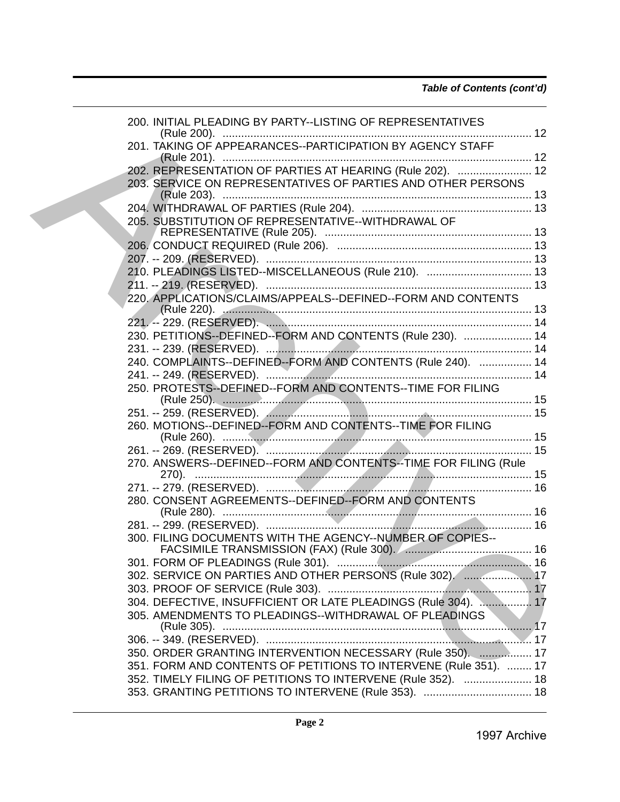| 200. INITIAL PLEADING BY PARTY--LISTING OF REPRESENTATIVES                                                                |
|---------------------------------------------------------------------------------------------------------------------------|
| 201. TAKING OF APPEARANCES--PARTICIPATION BY AGENCY STAFF                                                                 |
| 202. REPRESENTATION OF PARTIES AT HEARING (Rule 202).  12<br>203. SERVICE ON REPRESENTATIVES OF PARTIES AND OTHER PERSONS |
|                                                                                                                           |
| 205. SUBSTITUTION OF REPRESENTATIVE--WITHDRAWAL OF                                                                        |
|                                                                                                                           |
|                                                                                                                           |
| 210. PLEADINGS LISTED--MISCELLANEOUS (Rule 210).  13                                                                      |
| 220. APPLICATIONS/CLAIMS/APPEALS--DEFINED--FORM AND CONTENTS                                                              |
|                                                                                                                           |
|                                                                                                                           |
| 230. PETITIONS--DEFINED--FORM AND CONTENTS (Rule 230).  14                                                                |
|                                                                                                                           |
| 240. COMPLAINTS--DEFINED--FORM AND CONTENTS (Rule 240).  14                                                               |
|                                                                                                                           |
| 250. PROTESTS--DEFINED--FORM AND CONTENTS--TIME FOR FILING                                                                |
|                                                                                                                           |
| 260. MOTIONS--DEFINED--FORM AND CONTENTS--TIME FOR FILING                                                                 |
|                                                                                                                           |
| 270. ANSWERS--DEFINED--FORM AND CONTENTS--TIME FOR FILING (Rule                                                           |
|                                                                                                                           |
| 280. CONSENT AGREEMENTS--DEFINED--FORM AND CONTENTS                                                                       |
|                                                                                                                           |
| 300. FILING DOCUMENTS WITH THE AGENCY--NUMBER OF COPIES--                                                                 |
|                                                                                                                           |
| 302. SERVICE ON PARTIES AND OTHER PERSONS (Rule 302).  17                                                                 |
|                                                                                                                           |
| 304. DEFECTIVE, INSUFFICIENT OR LATE PLEADINGS (Rule 304).  17                                                            |
| 305. AMENDMENTS TO PLEADINGS--WITHDRAWAL OF PLEADINGS                                                                     |
|                                                                                                                           |
| 350. ORDER GRANTING INTERVENTION NECESSARY (Rule 350).  17                                                                |
| 351. FORM AND CONTENTS OF PETITIONS TO INTERVENE (Rule 351).  17                                                          |
| 352. TIMELY FILING OF PETITIONS TO INTERVENE (Rule 352).  18                                                              |
| Page 2<br>1997 Archive                                                                                                    |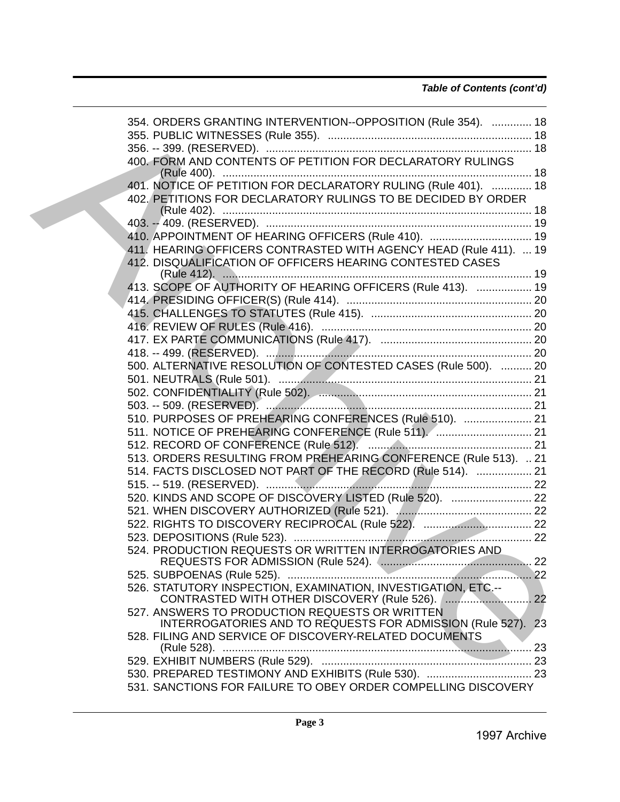## *Table of Contents (cont'd)*

| 354. ORDERS GRANTING INTERVENTION--OPPOSITION (Rule 354).  18                                                     |  |
|-------------------------------------------------------------------------------------------------------------------|--|
|                                                                                                                   |  |
| 400. FORM AND CONTENTS OF PETITION FOR DECLARATORY RULINGS                                                        |  |
|                                                                                                                   |  |
| 402. PETITIONS FOR DECLARATORY RULINGS TO BE DECIDED BY ORDER                                                     |  |
|                                                                                                                   |  |
| 410. APPOINTMENT OF HEARING OFFICERS (Rule 410).  19                                                              |  |
| 411. HEARING OFFICERS CONTRASTED WITH AGENCY HEAD (Rule 411).  19                                                 |  |
| 412. DISQUALIFICATION OF OFFICERS HEARING CONTESTED CASES                                                         |  |
| 413. SCOPE OF AUTHORITY OF HEARING OFFICERS (Rule 413).  19                                                       |  |
|                                                                                                                   |  |
|                                                                                                                   |  |
|                                                                                                                   |  |
|                                                                                                                   |  |
|                                                                                                                   |  |
| 500. ALTERNATIVE RESOLUTION OF CONTESTED CASES (Rule 500).  20                                                    |  |
|                                                                                                                   |  |
|                                                                                                                   |  |
|                                                                                                                   |  |
| 510. PURPOSES OF PREHEARING CONFERENCES (Rule 510).  21                                                           |  |
| 511. NOTICE OF PREHEARING CONFERENCE (Rule 511).  21                                                              |  |
|                                                                                                                   |  |
| 513. ORDERS RESULTING FROM PREHEARING CONFERENCE (Rule 513).  21                                                  |  |
| 514. FACTS DISCLOSED NOT PART OF THE RECORD (Rule 514).  21                                                       |  |
|                                                                                                                   |  |
| 520. KINDS AND SCOPE OF DISCOVERY LISTED (Rule 520).  22                                                          |  |
|                                                                                                                   |  |
|                                                                                                                   |  |
|                                                                                                                   |  |
| 524. PRODUCTION REQUESTS OR WRITTEN INTERROGATORIES AND                                                           |  |
|                                                                                                                   |  |
| 526. STATUTORY INSPECTION, EXAMINATION, INVESTIGATION, ETC.--<br>CONTRASTED WITH OTHER DISCOVERY (Rule 526). ( 22 |  |
| 527. ANSWERS TO PRODUCTION REQUESTS OR WRITTEN<br>INTERROGATORIES AND TO REQUESTS FOR ADMISSION (Rule 527). 23    |  |
| 528. FILING AND SERVICE OF DISCOVERY-RELATED DOCUMENTS                                                            |  |
|                                                                                                                   |  |
| 530. PREPARED TESTIMONY AND EXHIBITS (Rule 530).  23                                                              |  |
| 531. SANCTIONS FOR FAILURE TO OBEY ORDER COMPELLING DISCOVERY                                                     |  |
| Page 3                                                                                                            |  |
| 1997 Archive                                                                                                      |  |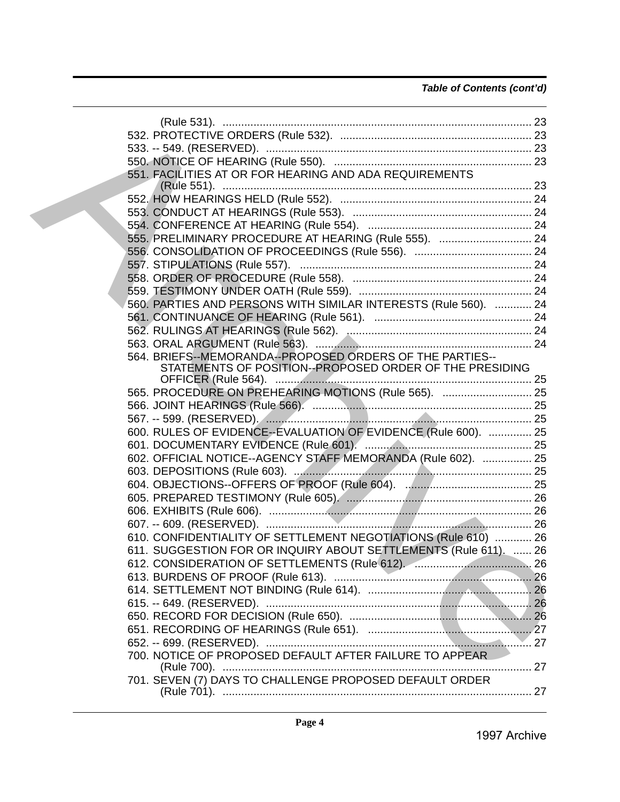| 551. FACILITIES AT OR FOR HEARING AND ADA REQUIREMENTS           |  |
|------------------------------------------------------------------|--|
|                                                                  |  |
|                                                                  |  |
|                                                                  |  |
| 555. PRELIMINARY PROCEDURE AT HEARING (Rule 555).  24            |  |
|                                                                  |  |
|                                                                  |  |
|                                                                  |  |
|                                                                  |  |
| 560. PARTIES AND PERSONS WITH SIMILAR INTERESTS (Rule 560).  24  |  |
|                                                                  |  |
|                                                                  |  |
|                                                                  |  |
| 564. BRIEFS--MEMORANDA--PROPOSED ORDERS OF THE PARTIES--         |  |
| STATEMENTS OF POSITION--PROPOSED ORDER OF THE PRESIDING          |  |
|                                                                  |  |
| 565. PROCEDURE ON PREHEARING MOTIONS (Rule 565).  25             |  |
|                                                                  |  |
|                                                                  |  |
| 600. RULES OF EVIDENCE--EVALUATION OF EVIDENCE (Rule 600).  25   |  |
|                                                                  |  |
| 602. OFFICIAL NOTICE--AGENCY STAFF MEMORANDA (Rule 602).  25     |  |
|                                                                  |  |
|                                                                  |  |
|                                                                  |  |
|                                                                  |  |
|                                                                  |  |
| 610. CONFIDENTIALITY OF SETTLEMENT NEGOTIATIONS (Rule 610)  26   |  |
| 611. SUGGESTION FOR OR INQUIRY ABOUT SETTLEMENTS (Rule 611).  26 |  |
|                                                                  |  |
|                                                                  |  |
|                                                                  |  |
|                                                                  |  |
|                                                                  |  |
|                                                                  |  |
|                                                                  |  |
|                                                                  |  |
| 700. NOTICE OF PROPOSED DEFAULT AFTER FAILURE TO APPEAR          |  |
| 701. SEVEN (7) DAYS TO CHALLENGE PROPOSED DEFAULT ORDER          |  |
| Page 4                                                           |  |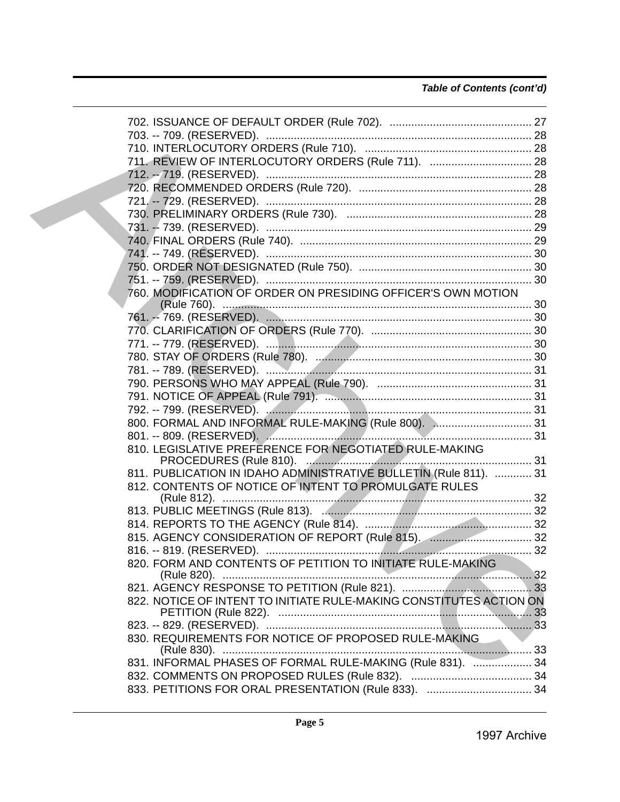## *Table of Contents (cont'd)*

| 711. REVIEW OF INTERLOCUTORY ORDERS (Rule 711).  28                 |  |
|---------------------------------------------------------------------|--|
| 712. -- 719. (RESERVED). …………………………………………………………………………… 28           |  |
|                                                                     |  |
|                                                                     |  |
|                                                                     |  |
|                                                                     |  |
|                                                                     |  |
|                                                                     |  |
|                                                                     |  |
|                                                                     |  |
| 760. MODIFICATION OF ORDER ON PRESIDING OFFICER'S OWN MOTION        |  |
|                                                                     |  |
|                                                                     |  |
|                                                                     |  |
|                                                                     |  |
|                                                                     |  |
|                                                                     |  |
|                                                                     |  |
|                                                                     |  |
| 800. FORMAL AND INFORMAL RULE-MAKING (Rule 800).  31                |  |
|                                                                     |  |
| 810. LEGISLATIVE PREFERENCE FOR NEGOTIATED RULE-MAKING              |  |
| 811. PUBLICATION IN IDAHO ADMINISTRATIVE BULLETIN (Rule 811).  31   |  |
| 812. CONTENTS OF NOTICE OF INTENT TO PROMULGATE RULES               |  |
|                                                                     |  |
|                                                                     |  |
|                                                                     |  |
| 815. AGENCY CONSIDERATION OF REPORT (Rule 815).  32                 |  |
|                                                                     |  |
| 820. FORM AND CONTENTS OF PETITION TO INITIATE RULE-MAKING          |  |
|                                                                     |  |
|                                                                     |  |
| 822. NOTICE OF INTENT TO INITIATE RULE-MAKING CONSTITUTES ACTION ON |  |
|                                                                     |  |
| 830. REQUIREMENTS FOR NOTICE OF PROPOSED RULE-MAKING                |  |
| 831. INFORMAL PHASES OF FORMAL RULE-MAKING (Rule 831).  34          |  |
|                                                                     |  |
|                                                                     |  |
| Page 5                                                              |  |
| 1997 Archive                                                        |  |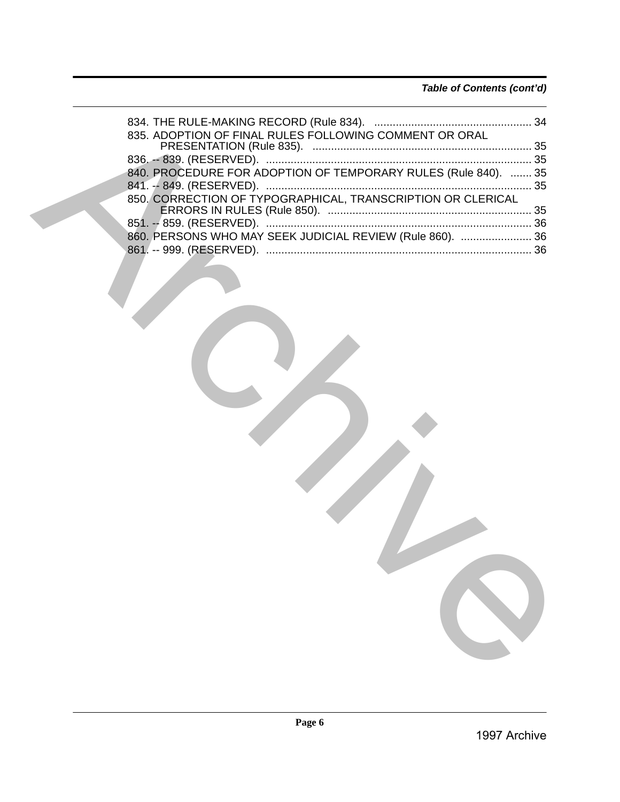| 835. ADOPTION OF FINAL RULES FOLLOWING COMMENT OR ORAL         |  |
|----------------------------------------------------------------|--|
|                                                                |  |
| 840. PROCEDURE FOR ADOPTION OF TEMPORARY RULES (Rule 840).  35 |  |
|                                                                |  |
|                                                                |  |
|                                                                |  |
| 860. PERSONS WHO MAY SEEK JUDICIAL REVIEW (Rule 860).  36      |  |
|                                                                |  |
|                                                                |  |
| Page 6                                                         |  |
| 1997 Archive                                                   |  |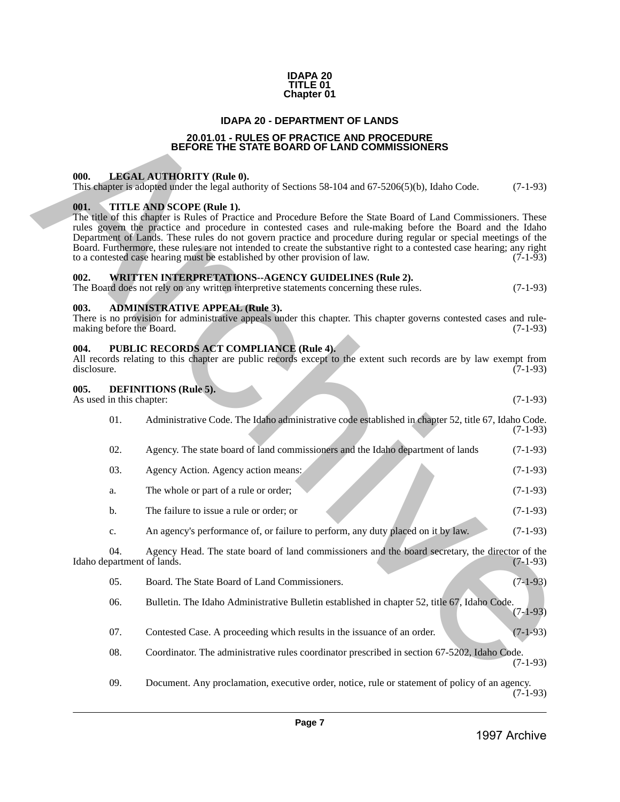#### **IDAPA 20 TITLE 01 Chapter 01**

## **IDAPA 20 - DEPARTMENT OF LANDS**

## **20.01.01 - RULES OF PRACTICE AND PROCEDURE BEFORE THE STATE BOARD OF LAND COMMISSIONERS**

## <span id="page-6-2"></span><span id="page-6-1"></span>**000. LEGAL AUTHORITY (Rule 0).**

## <span id="page-6-3"></span>**001. TITLE AND SCOPE (Rule 1).**

#### <span id="page-6-4"></span>**002. WRITTEN INTERPRETATIONS--AGENCY GUIDELINES (Rule 2).**

#### <span id="page-6-5"></span>**003. ADMINISTRATIVE APPEAL (Rule 3).**

| There is no provision for administrative appeals under this chapter. This chapter governs contested cases and rule- |  |  |  |            |
|---------------------------------------------------------------------------------------------------------------------|--|--|--|------------|
| making before the Board.                                                                                            |  |  |  | $(7-1-93)$ |

## <span id="page-6-6"></span>**004. PUBLIC RECORDS ACT COMPLIANCE (Rule 4).**

|             |  |  |  |  |  |  |  | All records relating to this chapter are public records except to the extent such records are by law exempt from |
|-------------|--|--|--|--|--|--|--|------------------------------------------------------------------------------------------------------------------|
| disclosure. |  |  |  |  |  |  |  | $(7-1-93)$                                                                                                       |

#### <span id="page-6-7"></span>**005. DEFINITIONS (Rule 5).**

<span id="page-6-0"></span>

|                     |                          | <b>IDAPA 20 - DEPARTMENT OF LANDS</b>                                                                                                                                                                                                                                                                                                                                                                                                                                                                                                                                                  |            |
|---------------------|--------------------------|----------------------------------------------------------------------------------------------------------------------------------------------------------------------------------------------------------------------------------------------------------------------------------------------------------------------------------------------------------------------------------------------------------------------------------------------------------------------------------------------------------------------------------------------------------------------------------------|------------|
|                     |                          | 20.01.01 - RULES OF PRACTICE AND PROCEDURE<br>BEFORE THE STATE BOARD OF LAND COMMISSIONERS                                                                                                                                                                                                                                                                                                                                                                                                                                                                                             |            |
|                     |                          |                                                                                                                                                                                                                                                                                                                                                                                                                                                                                                                                                                                        |            |
| 000.                |                          | <b>LEGAL AUTHORITY (Rule 0).</b><br>This chapter is adopted under the legal authority of Sections $58-104$ and $67-5206(5)(b)$ , Idaho Code.                                                                                                                                                                                                                                                                                                                                                                                                                                           | $(7-1-93)$ |
| 001.                |                          | TITLE AND SCOPE (Rule 1).<br>The title of this chapter is Rules of Practice and Procedure Before the State Board of Land Commissioners. These<br>rules govern the practice and procedure in contested cases and rule-making before the Board and the Idaho<br>Department of Lands. These rules do not govern practice and procedure during regular or special meetings of the<br>Board. Furthermore, these rules are not intended to create the substantive right to a contested case hearing; any right<br>to a contested case hearing must be established by other provision of law. | $(7-1-93)$ |
| 002.                |                          | <b>WRITTEN INTERPRETATIONS--AGENCY GUIDELINES (Rule 2).</b><br>The Board does not rely on any written interpretive statements concerning these rules.                                                                                                                                                                                                                                                                                                                                                                                                                                  | $(7-1-93)$ |
| 003.                |                          | <b>ADMINISTRATIVE APPEAL (Rule 3).</b>                                                                                                                                                                                                                                                                                                                                                                                                                                                                                                                                                 |            |
|                     |                          | There is no provision for administrative appeals under this chapter. This chapter governs contested cases and rule-<br>making before the Board.                                                                                                                                                                                                                                                                                                                                                                                                                                        | $(7-1-93)$ |
| 004.<br>disclosure. |                          | PUBLIC RECORDS ACT COMPLIANCE (Rule 4).<br>All records relating to this chapter are public records except to the extent such records are by law exempt from                                                                                                                                                                                                                                                                                                                                                                                                                            | $(7-1-93)$ |
| 005.                | As used in this chapter: | <b>DEFINITIONS</b> (Rule 5).                                                                                                                                                                                                                                                                                                                                                                                                                                                                                                                                                           | $(7-1-93)$ |
|                     | 01.                      | Administrative Code. The Idaho administrative code established in chapter 52, title 67, Idaho Code.                                                                                                                                                                                                                                                                                                                                                                                                                                                                                    | $(7-1-93)$ |
|                     | 02.                      | Agency. The state board of land commissioners and the Idaho department of lands                                                                                                                                                                                                                                                                                                                                                                                                                                                                                                        | $(7-1-93)$ |
|                     | 03.                      | Agency Action. Agency action means:                                                                                                                                                                                                                                                                                                                                                                                                                                                                                                                                                    | $(7-1-93)$ |
|                     | a.                       | The whole or part of a rule or order;                                                                                                                                                                                                                                                                                                                                                                                                                                                                                                                                                  | $(7-1-93)$ |
|                     | b.                       | The failure to issue a rule or order; or                                                                                                                                                                                                                                                                                                                                                                                                                                                                                                                                               | $(7-1-93)$ |
|                     | c.                       | An agency's performance of, or failure to perform, any duty placed on it by law.                                                                                                                                                                                                                                                                                                                                                                                                                                                                                                       | $(7-1-93)$ |
|                     | 04.                      | Agency Head. The state board of land commissioners and the board secretary, the director of the<br>Idaho department of lands.                                                                                                                                                                                                                                                                                                                                                                                                                                                          | $(7-1-93)$ |
|                     | 05.                      | Board. The State Board of Land Commissioners.                                                                                                                                                                                                                                                                                                                                                                                                                                                                                                                                          | $(7-1-93)$ |
|                     | 06.                      | Bulletin. The Idaho Administrative Bulletin established in chapter 52, title 67, Idaho Code.                                                                                                                                                                                                                                                                                                                                                                                                                                                                                           | $(7-1-93)$ |
|                     | 07.                      | Contested Case. A proceeding which results in the issuance of an order.                                                                                                                                                                                                                                                                                                                                                                                                                                                                                                                | $(7-1-93)$ |
|                     | 08.                      | Coordinator. The administrative rules coordinator prescribed in section 67-5202, Idaho Code.                                                                                                                                                                                                                                                                                                                                                                                                                                                                                           | $(7-1-93)$ |
|                     | 09.                      | Document. Any proclamation, executive order, notice, rule or statement of policy of an agency.                                                                                                                                                                                                                                                                                                                                                                                                                                                                                         | $(7-1-93)$ |
|                     |                          |                                                                                                                                                                                                                                                                                                                                                                                                                                                                                                                                                                                        |            |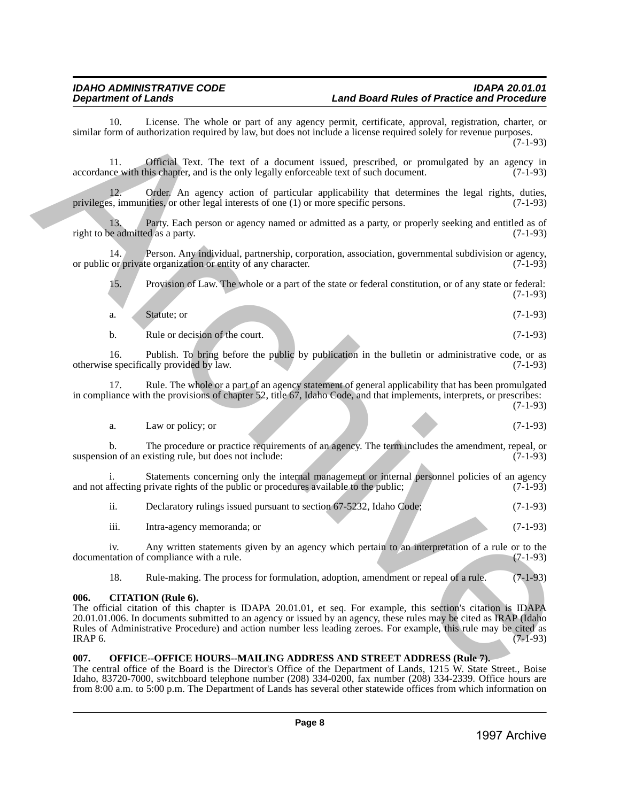10. License. The whole or part of any agency permit, certificate, approval, registration, charter, or similar form of authorization required by law, but does not include a license required solely for revenue purposes.

(7-1-93)

11. Official Text. The text of a document issued, prescribed, or promulgated by an agency in ce with this chapter, and is the only legally enforceable text of such document. (7-1-93) accordance with this chapter, and is the only legally enforceable text of such document.

Order. An agency action of particular applicability that determines the legal rights, duties, it is or other legal interests of one  $(1)$  or more specific persons.  $(7-1-93)$ privileges, immunities, or other legal interests of one  $(1)$  or more specific persons.

13. Party. Each person or agency named or admitted as a party, or properly seeking and entitled as of e admitted as a party. (7-1-93) right to be admitted as a party.

14. Person. Any individual, partnership, corporation, association, governmental subdivision or agency, or private organization or entity of any character. (7-1-93) or public or private organization or entity of any character.

15. Provision of Law. The whole or a part of the state or federal constitution, or of any state or federal: (7-1-93)

a. Statute; or  $(7-1-93)$ 

b. Rule or decision of the court. (7-1-93)

16. Publish. To bring before the public by publication in the bulletin or administrative code, or as otherwise specifically provided by law. (7-1-93)

17. Rule. The whole or a part of an agency statement of general applicability that has been promulgated in compliance with the provisions of chapter 52, title 67, Idaho Code, and that implements, interprets, or prescribes: (7-1-93)

a. Law or policy; or  $(7-1-93)$ 

b. The procedure or practice requirements of an agency. The term includes the amendment, repeal, or suspension of an existing rule, but does not include: (7-1-93)

i. Statements concerning only the internal management or internal personnel policies of an agency affecting private rights of the public or procedures available to the public: (7-1-93) and not affecting private rights of the public or procedures available to the public;

|  |  | Declaratory rulings issued pursuant to section 67-5232, Idaho Code; | $(7-1-93)$ |
|--|--|---------------------------------------------------------------------|------------|
|--|--|---------------------------------------------------------------------|------------|

| $\cdots$ |                            |  |  |            |  |
|----------|----------------------------|--|--|------------|--|
| 111.     | Intra-agency memoranda; or |  |  | $(7-1-93)$ |  |
|          |                            |  |  |            |  |

iv. Any written statements given by an agency which pertain to an interpretation of a rule or to the tation of compliance with a rule. (7-1-93) documentation of compliance with a rule.

18. Rule-making. The process for formulation, adoption, amendment or repeal of a rule. (7-1-93)

## <span id="page-7-0"></span>**006. CITATION (Rule 6).**

The official citation of this chapter is IDAPA 20.01.01, et seq. For example, this section's citation is IDAPA 20.01.01.006. In documents submitted to an agency or issued by an agency, these rules may be cited as IRAP (Idaho Rules of Administrative Procedure) and action number less leading zeroes. For example, this rule may be cited as  $IRAP 6.$  (7-1-93) Similar Control distance. The velocity care of any system space particular space and experimental methods are provided by methods are properties and the velocity of the velocity of the velocity of the velocity of the velo

## <span id="page-7-1"></span>**007. OFFICE--OFFICE HOURS--MAILING ADDRESS AND STREET ADDRESS (Rule 7).**

The central office of the Board is the Director's Office of the Department of Lands, 1215 W. State Street., Boise Idaho, 83720-7000, switchboard telephone number (208) 334-0200, fax number (208) 334-2339. Office hours are from 8:00 a.m. to 5:00 p.m. The Department of Lands has several other statewide offices from which information on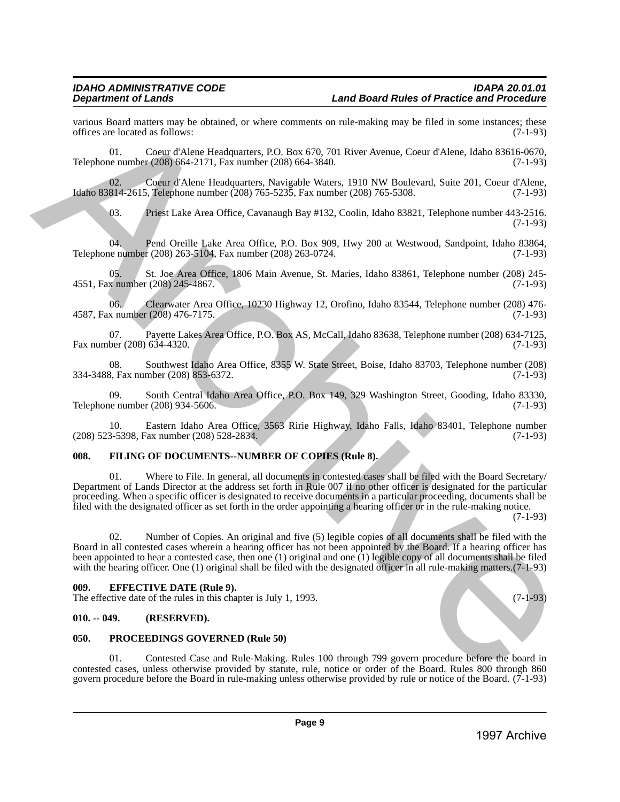various Board matters may be obtained, or where comments on rule-making may be filed in some instances; these offices are located as follows: (7-1-93) offices are located as follows:

01. Coeur d'Alene Headquarters, P.O. Box 670, 701 River Avenue, Coeur d'Alene, Idaho 83616-0670, Telephone number (208) 664-2171, Fax number (208) 664-3840. (7-1-93)

02. Coeur d'Alene Headquarters, Navigable Waters, 1910 NW Boulevard, Suite 201, Coeur d'Alene, Idaho 83814-2615, Telephone number (208) 765-5235, Fax number (208) 765-5308. (7-1-93)

03. Priest Lake Area Office, Cavanaugh Bay #132, Coolin, Idaho 83821, Telephone number 443-2516. (7-1-93)

04. Pend Oreille Lake Area Office, P.O. Box 909, Hwy 200 at Westwood, Sandpoint, Idaho 83864, le number (208) 263-5104, Fax number (208) 263-0724. Telephone number (208) 263-5104, Fax number (208) 263-0724.

05. St. Joe Area Office, 1806 Main Avenue, St. Maries, Idaho 83861, Telephone number (208) 245-<br>x number (208) 245-4867. (7-1-93) 4551, Fax number (208) 245-4867.

06. Clearwater Area Office, 10230 Highway 12, Orofino, Idaho 83544, Telephone number (208) 476-<br>x number (208) 476-7175. (7-1-93) 4587, Fax number (208) 476-7175.

07. Payette Lakes Area Office, P.O. Box AS, McCall, Idaho 83638, Telephone number (208) 634-7125, ber (208) 634-4320. (7-1-93) Fax number  $(208)$  634-4320.

08. Southwest Idaho Area Office, 8355 W. State Street, Boise, Idaho 83703, Telephone number (208) 334-3488, Fax number (208) 853-6372.

09. South Central Idaho Area Office, P.O. Box 149, 329 Washington Street, Gooding, Idaho 83330, the number (208) 934-5606. (7-1-93) Telephone number (208) 934-5606.

10. Eastern Idaho Area Office, 3563 Ririe Highway, Idaho Falls, Idaho 83401, Telephone number (208) 523-5398, Fax number (208) 528-2834.

## <span id="page-8-0"></span>**008. FILING OF DOCUMENTS--NUMBER OF COPIES (Rule 8).**

01. Where to File. In general, all documents in contested cases shall be filed with the Board Secretary/ Department of Lands Director at the address set forth in Rule 007 if no other officer is designated for the particular proceeding. When a specific officer is designated to receive documents in a particular proceeding, documents shall be filed with the designated officer as set forth in the order appointing a hearing officer or in the rule-making notice. were Solution and Total Constraint, on where comments on the ranking may be filed in some instance.<br>
The constraints of the constraints are constraints and the constraints are constraints and the constraints are<br>
The cons

(7-1-93)

02. Number of Copies. An original and five (5) legible copies of all documents shall be filed with the Board in all contested cases wherein a hearing officer has not been appointed by the Board. If a hearing officer has been appointed to hear a contested case, then one (1) original and one (1) legible copy of all documents shall be filed with the hearing officer. One (1) original shall be filed with the designated officer in all rule-making matters.(7-1-93)

## <span id="page-8-1"></span>**009. EFFECTIVE DATE (Rule 9).**

The effective date of the rules in this chapter is July 1, 1993. (7-1-93)

## <span id="page-8-2"></span>**010. -- 049. (RESERVED).**

## <span id="page-8-3"></span>**050. PROCEEDINGS GOVERNED (Rule 50)**

01. Contested Case and Rule-Making. Rules 100 through 799 govern procedure before the board in contested cases, unless otherwise provided by statute, rule, notice or order of the Board. Rules 800 through 860 govern procedure before the Board in rule-making unless otherwise provided by rule or notice of the Board.  $(7-1-93)$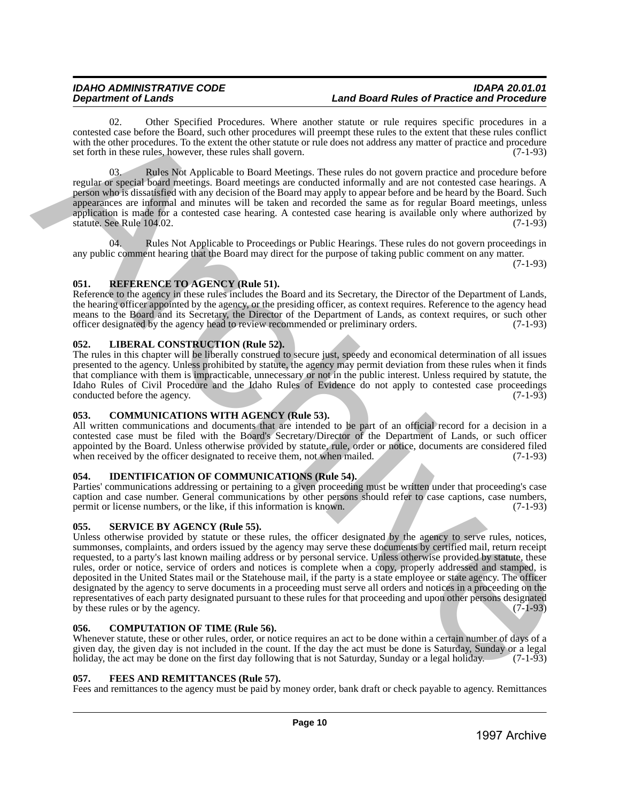## *IDAHO ADMINISTRATIVE CODE IDAPA 20.01.01* **Land Board Rules of Practice and Procedure**

02. Other Specified Procedures. Where another statute or rule requires specific procedures in a contested case before the Board, such other procedures will preempt these rules to the extent that these rules conflict with the other procedures. To the extent the other statute or rule does not address any matter of practice and procedure set forth in these rules, however, these rules shall govern. (7-1-93)

03. Rules Not Applicable to Board Meetings. These rules do not govern practice and procedure before regular or special board meetings. Board meetings are conducted informally and are not contested case hearings. A person who is dissatisfied with any decision of the Board may apply to appear before and be heard by the Board. Such appearances are informal and minutes will be taken and recorded the same as for regular Board meetings, unless application is made for a contested case hearing. A contested case hearing is available only where authorized by statute. See Rule  $104.02$ . (7-1-93) statute. See Rule 104.02.

04. Rules Not Applicable to Proceedings or Public Hearings. These rules do not govern proceedings in any public comment hearing that the Board may direct for the purpose of taking public comment on any matter.

(7-1-93)

## <span id="page-9-0"></span>**051. REFERENCE TO AGENCY (Rule 51).**

Reference to the agency in these rules includes the Board and its Secretary, the Director of the Department of Lands, the hearing officer appointed by the agency, or the presiding officer, as context requires. Reference to the agency head means to the Board and its Secretary, the Director of the Department of Lands, as context requires, or such other officer designated by the agency head to review recommended or preliminary orders. (7-1-93)

## <span id="page-9-1"></span>**052. LIBERAL CONSTRUCTION (Rule 52).**

The rules in this chapter will be liberally construed to secure just, speedy and economical determination of all issues presented to the agency. Unless prohibited by statute, the agency may permit deviation from these rules when it finds that compliance with them is impracticable, unnecessary or not in the public interest. Unless required by statute, the Idaho Rules of Civil Procedure and the Idaho Rules of Evidence do not apply to contested case proceedings conducted before the agency. (7-1-93) conducted before the agency.

## <span id="page-9-2"></span>**053. COMMUNICATIONS WITH AGENCY (Rule 53).**

All written communications and documents that are intended to be part of an official record for a decision in a contested case must be filed with the Board's Secretary/Director of the Department of Lands, or such officer appointed by the Board. Unless otherwise provided by statute, rule, order or notice, documents are considered filed when received by the officer designated to receive them, not when mailed. (7-1-93)

## <span id="page-9-3"></span>**054. IDENTIFICATION OF COMMUNICATIONS (Rule 54).**

Parties' communications addressing or pertaining to a given proceeding must be written under that proceeding's case caption and case number. General communications by other persons should refer to case captions, case numbers, permit or license numbers, or the like, if this information is known. (7-1-93)

## <span id="page-9-4"></span>**055. SERVICE BY AGENCY (Rule 55).**

Unless otherwise provided by statute or these rules, the officer designated by the agency to serve rules, notices, summonses, complaints, and orders issued by the agency may serve these documents by certified mail, return receipt requested, to a party's last known mailing address or by personal service. Unless otherwise provided by statute, these rules, order or notice, service of orders and notices is complete when a copy, properly addressed and stamped, is deposited in the United States mail or the Statehouse mail, if the party is a state employee or state agency. The officer designated by the agency to serve documents in a proceeding must serve all orders and notices in a proceeding on the representatives of each party designated pursuant to these rules for that proceeding and upon other persons designated<br>by these rules or by the agency. (7-1-93) by these rules or by the agency. 1998. The USB Specific Uncolleans Website and the interest of the institute procedure and the interest of the interest of the interest of the interest of the interest of the interest of the interest of the interest of th

## <span id="page-9-5"></span>**056. COMPUTATION OF TIME (Rule 56).**

Whenever statute, these or other rules, order, or notice requires an act to be done within a certain number of days of a given day, the given day is not included in the count. If the day the act must be done is Saturday, Sunday or a legal holiday, the act may be done on the first day following that is not Saturday, Sunday or a legal holiday. holiday, the act may be done on the first day following that is not Saturday, Sunday or a legal holiday.

## <span id="page-9-6"></span>**057. FEES AND REMITTANCES (Rule 57).**

Fees and remittances to the agency must be paid by money order, bank draft or check payable to agency. Remittances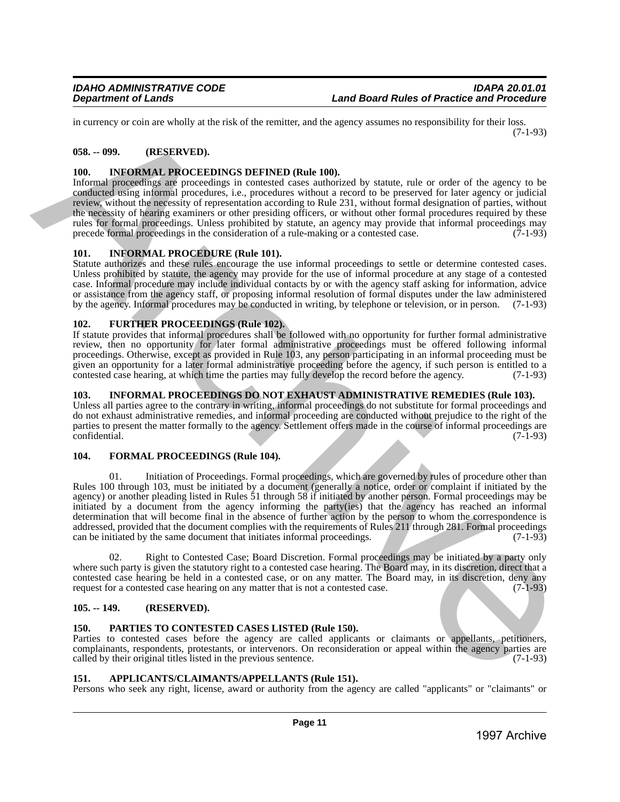in currency or coin are wholly at the risk of the remitter, and the agency assumes no responsibility for their loss. (7-1-93)

## <span id="page-10-0"></span>**058. -- 099. (RESERVED).**

## <span id="page-10-1"></span>**100. INFORMAL PROCEEDINGS DEFINED (Rule 100).**

Informal proceedings are proceedings in contested cases authorized by statute, rule or order of the agency to be conducted using informal procedures, i.e., procedures without a record to be preserved for later agency or judicial review, without the necessity of representation according to Rule 231, without formal designation of parties, without the necessity of hearing examiners or other presiding officers, or without other formal procedures required by these rules for formal proceedings. Unless prohibited by statute, an agency may provide that informal proceedings may<br>precede formal proceedings in the consideration of a rule-making or a contested case. (7-1-93) precede formal proceedings in the consideration of a rule-making or a contested case.

## <span id="page-10-2"></span>**101. INFORMAL PROCEDURE (Rule 101).**

Statute authorizes and these rules encourage the use informal proceedings to settle or determine contested cases. Unless prohibited by statute, the agency may provide for the use of informal procedure at any stage of a contested case. Informal procedure may include individual contacts by or with the agency staff asking for information, advice or assistance from the agency staff, or proposing informal resolution of formal disputes under the law administered by the agency. Informal procedures may be conducted in writing, by telephone or television, or in person. (7-1-93)

## <span id="page-10-3"></span>**102. FURTHER PROCEEDINGS (Rule 102).**

If statute provides that informal procedures shall be followed with no opportunity for further formal administrative review, then no opportunity for later formal administrative proceedings must be offered following informal proceedings. Otherwise, except as provided in Rule 103, any person participating in an informal proceeding must be given an opportunity for a later formal administrative proceeding before the agency, if such person is entitled to a contested case hearing, at which time the parties may fully develop the record before the agency. (7-1-93 contested case hearing, at which time the parties may fully develop the record before the agency.

## <span id="page-10-4"></span>**103. INFORMAL PROCEEDINGS DO NOT EXHAUST ADMINISTRATIVE REMEDIES (Rule 103).**

Unless all parties agree to the contrary in writing, informal proceedings do not substitute for formal proceedings and do not exhaust administrative remedies, and informal proceeding are conducted without prejudice to the right of the parties to present the matter formally to the agency. Settlement offers made in the course of informal proceedings are confidential. (7-1-93) confidential. (7-1-93)

## <span id="page-10-5"></span>**104. FORMAL PROCEEDINGS (Rule 104).**

01. Initiation of Proceedings. Formal proceedings, which are governed by rules of procedure other than Rules 100 through 103, must be initiated by a document (generally a notice, order or complaint if initiated by the agency) or another pleading listed in Rules 51 through 58 if initiated by another person. Formal proceedings may be initiated by a document from the agency informing the party(ies) that the agency has reached an informal determination that will become final in the absence of further action by the person to whom the correspondence is addressed, provided that the document complies with the requirements of Rules 211 through 281. Formal proceedings can be initiated by the same document that initiates informal proceedings. (7-1-93) In curve, or colla are visible state that discussions. The lines are some to repeate the second of the second of the second of the second of the second of the second of the second of the second of the second of the secon

02. Right to Contested Case; Board Discretion. Formal proceedings may be initiated by a party only where such party is given the statutory right to a contested case hearing. The Board may, in its discretion, direct that a contested case hearing be held in a contested case, or on any matter. The Board may, in its discretion, deny any request for a contested case hearing on any matter that is not a contested case. (7-1-93) request for a contested case hearing on any matter that is not a contested case.

## <span id="page-10-6"></span>**105. -- 149. (RESERVED).**

## <span id="page-10-7"></span>**150. PARTIES TO CONTESTED CASES LISTED (Rule 150).**

Parties to contested cases before the agency are called applicants or claimants or appellants, petitioners, complainants, respondents, protestants, or intervenors. On reconsideration or appeal within the agency parties are called by their original titles listed in the previous sentence. (7-1-93)

## <span id="page-10-8"></span>**151. APPLICANTS/CLAIMANTS/APPELLANTS (Rule 151).**

Persons who seek any right, license, award or authority from the agency are called "applicants" or "claimants" or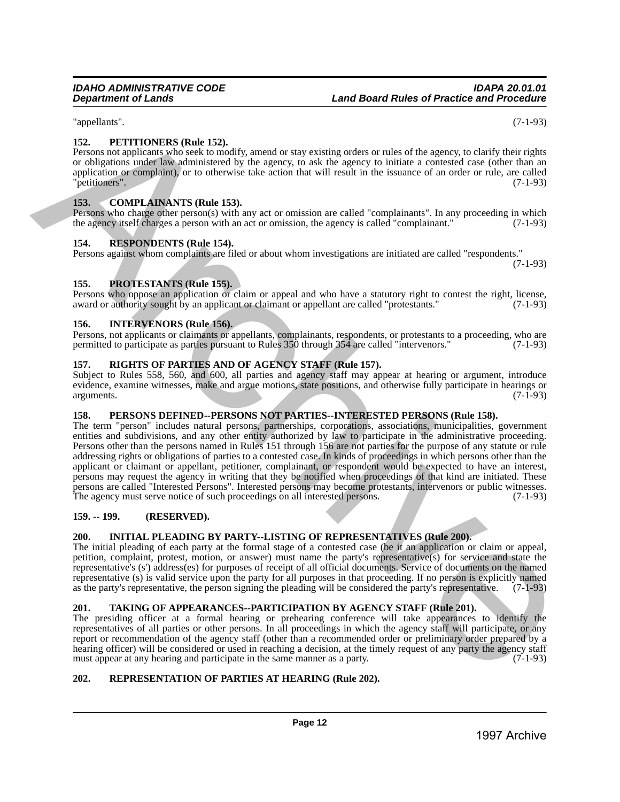"appellants". (7-1-93)

## <span id="page-11-0"></span>**152. PETITIONERS (Rule 152).**

Persons not applicants who seek to modify, amend or stay existing orders or rules of the agency, to clarify their rights or obligations under law administered by the agency, to ask the agency to initiate a contested case (other than an application or complaint), or to otherwise take action that will result in the issuance of an order or rule, are called "petitioners". (7-1-93) "petitioners". (7-1-93)

## <span id="page-11-1"></span>**153. COMPLAINANTS (Rule 153).**

Persons who charge other person(s) with any act or omission are called "complainants". In any proceeding in which the agency itself charges a person with an act or omission, the agency is called "complainant."  $(7-1-93)$ 

## <span id="page-11-2"></span>**154. RESPONDENTS (Rule 154).**

Persons against whom complaints are filed or about whom investigations are initiated are called "respondents." (7-1-93)

## <span id="page-11-3"></span>**155. PROTESTANTS (Rule 155).**

Persons who oppose an application or claim or appeal and who have a statutory right to contest the right, license, award or authority sought by an applicant or claimant or appellant are called "protestants." (7-1-93)

## <span id="page-11-4"></span>**156. INTERVENORS (Rule 156).**

Persons, not applicants or claimants or appellants, complainants, respondents, or protestants to a proceeding, who are permitted to participate as parties pursuant to Rules 350 through 354 are called "intervenors." (7-1-93 permitted to participate as parties pursuant to Rules 350 through 354 are called "intervenors."

## <span id="page-11-5"></span>**157. RIGHTS OF PARTIES AND OF AGENCY STAFF (Rule 157).**

Subject to Rules 558, 560, and 600, all parties and agency staff may appear at hearing or argument, introduce evidence, examine witnesses, make and argue motions, state positions, and otherwise fully participate in hearings or arguments. arguments. (7-1-93)

## <span id="page-11-6"></span>**158. PERSONS DEFINED--PERSONS NOT PARTIES--INTERESTED PERSONS (Rule 158).**

The term "person" includes natural persons, partnerships, corporations, associations, municipalities, government entities and subdivisions, and any other entity authorized by law to participate in the administrative proceeding. Persons other than the persons named in Rules 151 through 156 are not parties for the purpose of any statute or rule addressing rights or obligations of parties to a contested case. In kinds of proceedings in which persons other than the applicant or claimant or appellant, petitioner, complainant, or respondent would be expected to have an interest, persons may request the agency in writing that they be notified when proceedings of that kind are initiated. These persons are called "Interested Persons". Interested persons may become protestants, intervenors or public witnesses. The agency must serve notice of such proceedings on all interested persons. (7-1-93) 1997<br>
1997 Marchive Archives Conclusions of the Street of the street of the street of the street of the street of the street of the street of the street of the street of the street of the street of the street of the stre

## <span id="page-11-7"></span>**159. -- 199. (RESERVED).**

## <span id="page-11-8"></span>**200. INITIAL PLEADING BY PARTY--LISTING OF REPRESENTATIVES (Rule 200).**

The initial pleading of each party at the formal stage of a contested case (be it an application or claim or appeal, petition, complaint, protest, motion, or answer) must name the party's representative(s) for service and state the representative's (s') address(es) for purposes of receipt of all official documents. Service of documents on the named representative (s) is valid service upon the party for all purposes in that proceeding. If no person is explicitly named as the party's representative, the person signing the pleading will be considered the party's represe as the party's representative, the person signing the pleading will be considered the party's representative.

## <span id="page-11-9"></span>**201. TAKING OF APPEARANCES--PARTICIPATION BY AGENCY STAFF (Rule 201).**

The presiding officer at a formal hearing or prehearing conference will take appearances to identify the representatives of all parties or other persons. In all proceedings in which the agency staff will participate, or any report or recommendation of the agency staff (other than a recommended order or preliminary order prepared by a hearing officer) will be considered or used in reaching a decision, at the timely request of any party the agency staff must appear at any hearing and participate in the same manner as a party. (7-1-93) must appear at any hearing and participate in the same manner as a party.

## <span id="page-11-10"></span>**202. REPRESENTATION OF PARTIES AT HEARING (Rule 202).**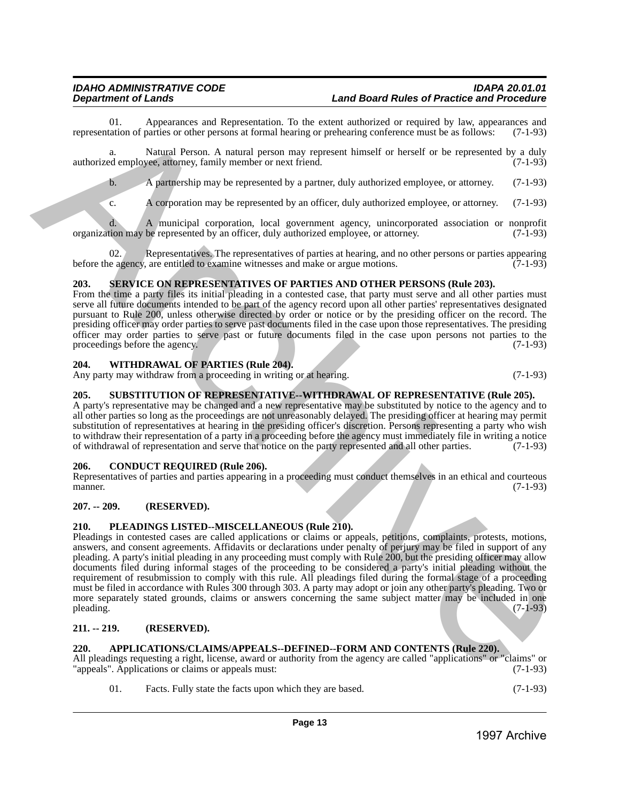01. Appearances and Representation. To the extent authorized or required by law, appearances and tation of parties or other persons at formal hearing or prehearing conference must be as follows: (7-1-93) representation of parties or other persons at formal hearing or prehearing conference must be as follows:

a. Natural Person. A natural person may represent himself or herself or be represented by a duly authorized employee, attorney, family member or next friend. (7-1-93)

b. A partnership may be represented by a partner, duly authorized employee, or attorney. (7-1-93)

c. A corporation may be represented by an officer, duly authorized employee, or attorney. (7-1-93)

d. A municipal corporation, local government agency, unincorporated association or nonprofit organization may be represented by an officer, duly authorized employee, or attorney.

02. Representatives. The representatives of parties at hearing, and no other persons or parties appearing before the agency, are entitled to examine witnesses and make or argue motions. (7-1-93)

## <span id="page-12-0"></span>**203. SERVICE ON REPRESENTATIVES OF PARTIES AND OTHER PERSONS (Rule 203).**

From the time a party files its initial pleading in a contested case, that party must serve and all other parties must serve all future documents intended to be part of the agency record upon all other parties' representatives designated pursuant to Rule 200, unless otherwise directed by order or notice or by the presiding officer on the record. The presiding officer may order parties to serve past documents filed in the case upon those representatives. The presiding officer may order parties to serve past or future documents filed in the case upon persons not parties to the proceedings before the agency. (7-1-93) proceedings before the agency.

## <span id="page-12-1"></span>**204. WITHDRAWAL OF PARTIES (Rule 204).**

Any party may withdraw from a proceeding in writing or at hearing. (7-1-93)

## <span id="page-12-2"></span>**205. SUBSTITUTION OF REPRESENTATIVE--WITHDRAWAL OF REPRESENTATIVE (Rule 205).**

A party's representative may be changed and a new representative may be substituted by notice to the agency and to all other parties so long as the proceedings are not unreasonably delayed. The presiding officer at hearing may permit substitution of representatives at hearing in the presiding officer's discretion. Persons representing a party who wish to withdraw their representation of a party in a proceeding before the agency must immediately file in writing a notice of withdrawal of representation and serve that notice on the party represented and all other parties. (7-1-93)

## <span id="page-12-3"></span>**206. CONDUCT REQUIRED (Rule 206).**

Representatives of parties and parties appearing in a proceeding must conduct themselves in an ethical and courteous manner. (7-1-93) manner. (7-1-93)

## <span id="page-12-4"></span>**207. -- 209. (RESERVED).**

## <span id="page-12-5"></span>**210. PLEADINGS LISTED--MISCELLANEOUS (Rule 210).**

Pleadings in contested cases are called applications or claims or appeals, petitions, complaints, protests, motions, answers, and consent agreements. Affidavits or declarations under penalty of perjury may be filed in support of any pleading. A party's initial pleading in any proceeding must comply with Rule 200, but the presiding officer may allow documents filed during informal stages of the proceeding to be considered a party's initial pleading without the requirement of resubmission to comply with this rule. All pleadings filed during the formal stage of a proceeding must be filed in accordance with Rules 300 through 303. A party may adopt or join any other party's pleading. Two or more separately stated grounds, claims or answers concerning the same subject matter may be included in one pleading.  $(7-1-93)$ 1998). And the material by a solitical experimental by the basis of strength archives  $\frac{1}{2}$  (31.45) and the material by the material by the system of the material by the system of the material by a strength archive A

## <span id="page-12-6"></span>**211. -- 219. (RESERVED).**

## <span id="page-12-7"></span>**220. APPLICATIONS/CLAIMS/APPEALS--DEFINED--FORM AND CONTENTS (Rule 220).**

All pleadings requesting a right, license, award or authority from the agency are called "applications" or "claims" or "appeals" (7-1-93) "appeals". Applications or claims or appeals must:

01. Facts. Fully state the facts upon which they are based. (7-1-93)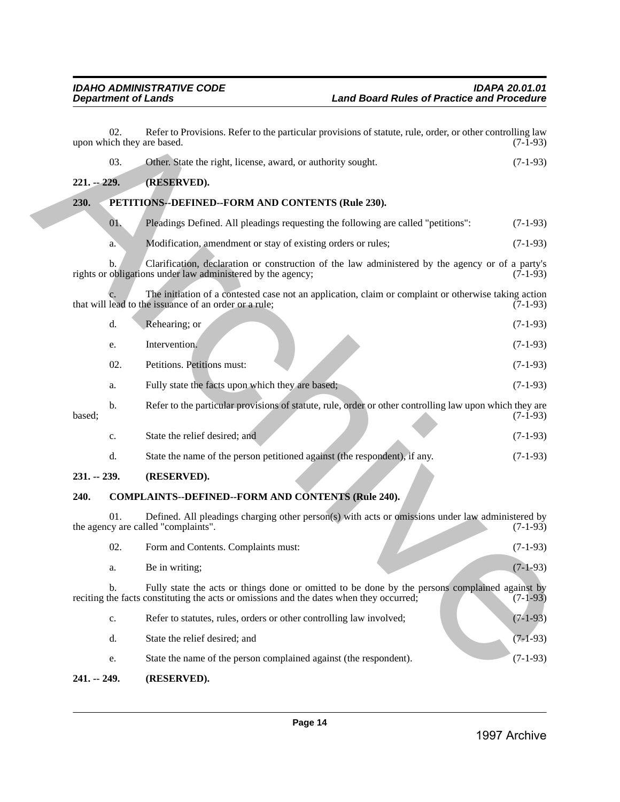<span id="page-13-1"></span><span id="page-13-0"></span>

|               | b.  | Clarification, declaration or construction of the law administered by the agency or of a party's<br>rights or obligations under law administered by the agency;                           | $(7-1-93)$ |
|---------------|-----|-------------------------------------------------------------------------------------------------------------------------------------------------------------------------------------------|------------|
|               |     | The initiation of a contested case not an application, claim or complaint or otherwise taking action<br>that will lead to the issuance of an order or a rule;                             | $(7-1-93)$ |
|               | d.  | Rehearing; or                                                                                                                                                                             | $(7-1-93)$ |
|               | e.  | Intervention.                                                                                                                                                                             | $(7-1-93)$ |
|               | 02. | Petitions. Petitions must:                                                                                                                                                                | $(7-1-93)$ |
|               | a.  | Fully state the facts upon which they are based;                                                                                                                                          | $(7-1-93)$ |
| based;        | b.  | Refer to the particular provisions of statute, rule, order or other controlling law upon which they are                                                                                   | $(7-1-93)$ |
|               | c.  | State the relief desired; and                                                                                                                                                             | $(7-1-93)$ |
|               | d.  | State the name of the person petitioned against (the respondent), if any.                                                                                                                 | $(7-1-93)$ |
| $231. - 239.$ |     | (RESERVED).                                                                                                                                                                               |            |
| 240.          |     | <b>COMPLAINTS--DEFINED--FORM AND CONTENTS (Rule 240).</b>                                                                                                                                 |            |
|               | 01. | Defined. All pleadings charging other person(s) with acts or omissions under law administered by<br>the agency are called "complaints".                                                   | $(7-1-93)$ |
|               | 02. | Form and Contents. Complaints must:                                                                                                                                                       | $(7-1-93)$ |
|               | a.  | Be in writing;                                                                                                                                                                            | $(7-1-93)$ |
|               | b.  | Fully state the acts or things done or omitted to be done by the persons complained against by<br>reciting the facts constituting the acts or omissions and the dates when they occurred; | $(7-1-93)$ |
|               | c.  | Refer to statutes, rules, orders or other controlling law involved;                                                                                                                       | $(7-1-93)$ |
|               | d.  | State the relief desired; and                                                                                                                                                             | $(7-1-93)$ |
|               | e.  | State the name of the person complained against (the respondent).                                                                                                                         | $(7-1-93)$ |

## <span id="page-13-4"></span><span id="page-13-3"></span><span id="page-13-2"></span>**241. -- 249. (RESERVED).**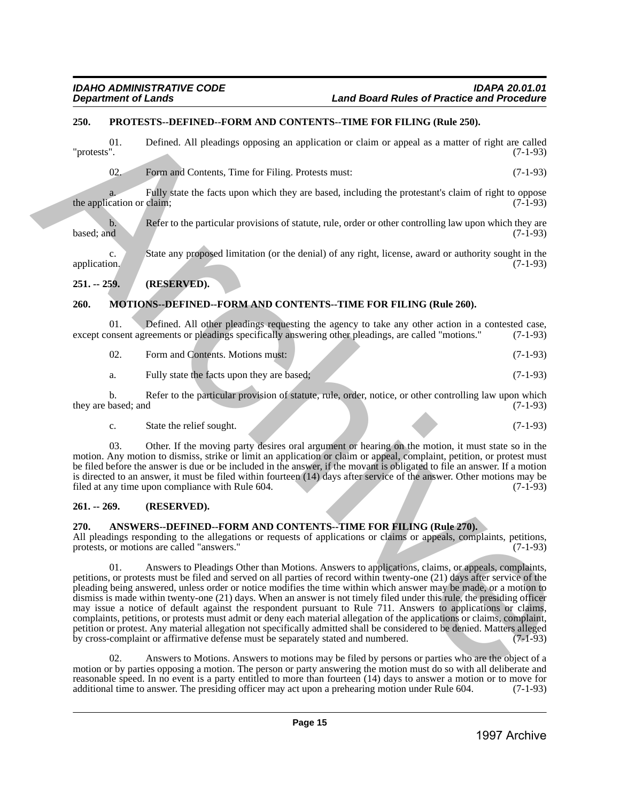## <span id="page-14-0"></span>**250. PROTESTS--DEFINED--FORM AND CONTENTS--TIME FOR FILING (Rule 250).**

01. Defined. All pleadings opposing an application or claim or appeal as a matter of right are called "protests". (7-1-93) "protests". (7-1-93)

02. Form and Contents, Time for Filing. Protests must: (7-1-93)

a. Fully state the facts upon which they are based, including the protestant's claim of right to oppose cation or claim: (7-1-93) the application or claim;

b. Refer to the particular provisions of statute, rule, order or other controlling law upon which they are based; and (7-1-93)  $\beta$  based; and  $(7-1-93)$ 

c. State any proposed limitation (or the denial) of any right, license, award or authority sought in the application. (7-1-93)

## <span id="page-14-1"></span>**251. -- 259. (RESERVED).**

## <span id="page-14-2"></span>**260. MOTIONS--DEFINED--FORM AND CONTENTS--TIME FOR FILING (Rule 260).**

01. Defined. All other pleadings requesting the agency to take any other action in a contested case, onsent agreements or pleadings specifically answering other pleadings, are called "motions." (7-1-93) except consent agreements or pleadings specifically answering other pleadings, are called "motions."

| 02. | Form and Contents. Motions must: |  | $(7-1-93)$ |
|-----|----------------------------------|--|------------|
|-----|----------------------------------|--|------------|

a. Fully state the facts upon they are based; (7-1-93)

b. Refer to the particular provision of statute, rule, order, notice, or other controlling law upon which based; and (7-1-93) they are based; and

c. State the relief sought.  $(7-1-93)$ 

03. Other. If the moving party desires oral argument or hearing on the motion, it must state so in the motion. Any motion to dismiss, strike or limit an application or claim or appeal, complaint, petition, or protest must be filed before the answer is due or be included in the answer, if the movant is obligated to file an answer. If a motion is directed to an answer, it must be filed within fourteen (14) days after service of the answer. Other motions may be filed at any time upon compliance with Rule 604. filed at any time upon compliance with Rule 604.

## <span id="page-14-3"></span>**261. -- 269. (RESERVED).**

## <span id="page-14-4"></span>**270. ANSWERS--DEFINED--FORM AND CONTENTS--TIME FOR FILING (Rule 270).**

All pleadings responding to the allegations or requests of applications or claims or appeals, complaints, petitions, protests, or motions are called "answers." (7-1-93)

01. Answers to Pleadings Other than Motions. Answers to applications, claims, or appeals, complaints, petitions, or protests must be filed and served on all parties of record within twenty-one (21) days after service of the pleading being answered, unless order or notice modifies the time within which answer may be made, or a motion to dismiss is made within twenty-one (21) days. When an answer is not timely filed under this rule, the presiding officer may issue a notice of default against the respondent pursuant to Rule 711. Answers to applications or claims, complaints, petitions, or protests must admit or deny each material allegation of the applications or claims, complaint, petition or protest. Any material allegation not specifically admitted shall be considered to be denied. Matters alleged by cross-complaint or affirmative defense must be separately stated and numbered. (7-1-93) **1998**. **PHOTOSYS-DEPENDIES**<br>
29. **COLUMENTAL PONDATION ANDEX** CONSULTRIP THEN EXACT A REPORT OF CONSULTRIP (CONSULTRIP)<br>
29. **COLUMENTAL CONSULTRIP** (CONSULTRIP) **FOR ARCHIVE CONSULTRIP** (C-1-25)<br>
29. **COLUMENTAL CONSULT** 

02. Answers to Motions. Answers to motions may be filed by persons or parties who are the object of a motion or by parties opposing a motion. The person or party answering the motion must do so with all deliberate and reasonable speed. In no event is a party entitled to more than fourteen (14) days to answer a motion or to move for additional time to answer. The presiding officer may act upon a prehearing motion under Rule 604. (7-1-93) additional time to answer. The presiding officer may act upon a prehearing motion under Rule 604.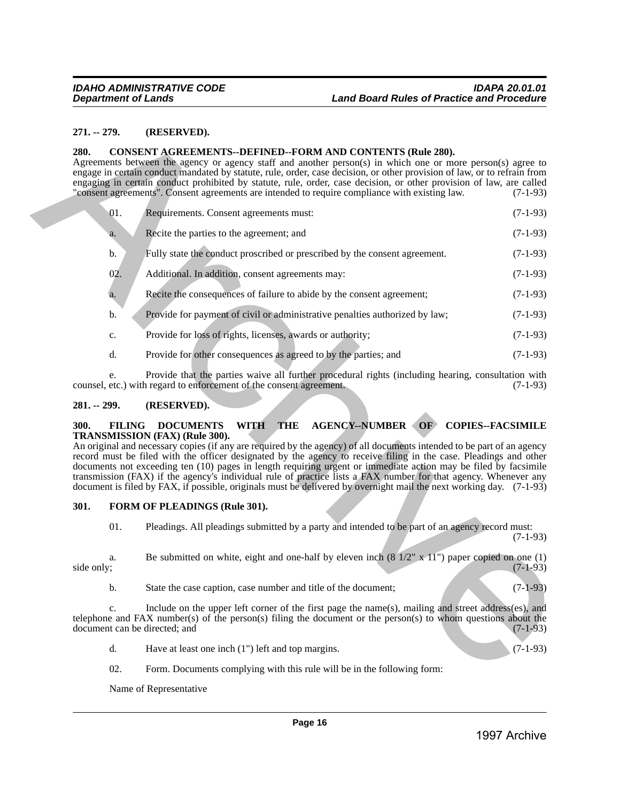#### <span id="page-15-0"></span>**271. -- 279. (RESERVED).**

#### <span id="page-15-1"></span>**280. CONSENT AGREEMENTS--DEFINED--FORM AND CONTENTS (Rule 280).**

|                                       | $271. - 279.$                                                                                                                                                                                                                                                                                                                                                                                                                                                                  | (RESERVED).                                                                                                                                                                                                                                                                                                                                                                                                                                                                                                                            |                                        |  |  |
|---------------------------------------|--------------------------------------------------------------------------------------------------------------------------------------------------------------------------------------------------------------------------------------------------------------------------------------------------------------------------------------------------------------------------------------------------------------------------------------------------------------------------------|----------------------------------------------------------------------------------------------------------------------------------------------------------------------------------------------------------------------------------------------------------------------------------------------------------------------------------------------------------------------------------------------------------------------------------------------------------------------------------------------------------------------------------------|----------------------------------------|--|--|
| 280.                                  |                                                                                                                                                                                                                                                                                                                                                                                                                                                                                | <b>CONSENT AGREEMENTS--DEFINED--FORM AND CONTENTS (Rule 280).</b><br>Agreements between the agency or agency staff and another person(s) in which one or more person(s) agree to<br>engage in certain conduct mandated by statute, rule, order, case decision, or other provision of law, or to refrain from<br>engaging in certain conduct prohibited by statute, rule, order, case decision, or other provision of law, are called<br>"consent agreements". Consent agreements are intended to require compliance with existing law. | $(7-1-93)$                             |  |  |
|                                       | 01.                                                                                                                                                                                                                                                                                                                                                                                                                                                                            | Requirements. Consent agreements must:                                                                                                                                                                                                                                                                                                                                                                                                                                                                                                 | $(7-1-93)$                             |  |  |
|                                       | a.                                                                                                                                                                                                                                                                                                                                                                                                                                                                             | Recite the parties to the agreement; and                                                                                                                                                                                                                                                                                                                                                                                                                                                                                               | $(7-1-93)$                             |  |  |
|                                       | b.                                                                                                                                                                                                                                                                                                                                                                                                                                                                             | Fully state the conduct proscribed or prescribed by the consent agreement.                                                                                                                                                                                                                                                                                                                                                                                                                                                             | $(7-1-93)$                             |  |  |
|                                       | 02.                                                                                                                                                                                                                                                                                                                                                                                                                                                                            | Additional. In addition, consent agreements may:                                                                                                                                                                                                                                                                                                                                                                                                                                                                                       | $(7-1-93)$                             |  |  |
|                                       | a.                                                                                                                                                                                                                                                                                                                                                                                                                                                                             | Recite the consequences of failure to abide by the consent agreement;                                                                                                                                                                                                                                                                                                                                                                                                                                                                  | $(7-1-93)$                             |  |  |
|                                       | b.                                                                                                                                                                                                                                                                                                                                                                                                                                                                             | Provide for payment of civil or administrative penalties authorized by law;                                                                                                                                                                                                                                                                                                                                                                                                                                                            | $(7-1-93)$                             |  |  |
|                                       | c.                                                                                                                                                                                                                                                                                                                                                                                                                                                                             | Provide for loss of rights, licenses, awards or authority;                                                                                                                                                                                                                                                                                                                                                                                                                                                                             | $(7-1-93)$                             |  |  |
|                                       | d.                                                                                                                                                                                                                                                                                                                                                                                                                                                                             | Provide for other consequences as agreed to by the parties; and                                                                                                                                                                                                                                                                                                                                                                                                                                                                        | $(7-1-93)$                             |  |  |
|                                       | e.                                                                                                                                                                                                                                                                                                                                                                                                                                                                             | Provide that the parties waive all further procedural rights (including hearing, consultation with<br>counsel, etc.) with regard to enforcement of the consent agreement.                                                                                                                                                                                                                                                                                                                                                              | $(7-1-93)$                             |  |  |
| $281. - 299.$                         |                                                                                                                                                                                                                                                                                                                                                                                                                                                                                | (RESERVED).                                                                                                                                                                                                                                                                                                                                                                                                                                                                                                                            |                                        |  |  |
|                                       | record must be filed with the officer designated by the agency to receive filing in the case. Pleadings and other<br>documents not exceeding ten (10) pages in length requiring urgent or immediate action may be filed by facsimile<br>transmission (FAX) if the agency's individual rule of practice lists a FAX number for that agency. Whenever any<br>document is filed by FAX, if possible, originals must be delivered by overnight mail the next working day. (7-1-93) |                                                                                                                                                                                                                                                                                                                                                                                                                                                                                                                                        |                                        |  |  |
| 301.<br>FORM OF PLEADINGS (Rule 301). |                                                                                                                                                                                                                                                                                                                                                                                                                                                                                |                                                                                                                                                                                                                                                                                                                                                                                                                                                                                                                                        |                                        |  |  |
|                                       | 01.                                                                                                                                                                                                                                                                                                                                                                                                                                                                            | Pleadings. All pleadings submitted by a party and intended to be part of an agency record must:                                                                                                                                                                                                                                                                                                                                                                                                                                        | $(7-1-93)$                             |  |  |
| side only;                            | a.                                                                                                                                                                                                                                                                                                                                                                                                                                                                             | Be submitted on white, eight and one-half by eleven inch $(8\frac{1}{2} \times 11)$ paper copied on one (1)                                                                                                                                                                                                                                                                                                                                                                                                                            | $(7-1-93)$                             |  |  |
|                                       |                                                                                                                                                                                                                                                                                                                                                                                                                                                                                |                                                                                                                                                                                                                                                                                                                                                                                                                                                                                                                                        |                                        |  |  |
|                                       | b.                                                                                                                                                                                                                                                                                                                                                                                                                                                                             | State the case caption, case number and title of the document;                                                                                                                                                                                                                                                                                                                                                                                                                                                                         |                                        |  |  |
|                                       | c.                                                                                                                                                                                                                                                                                                                                                                                                                                                                             | Include on the upper left corner of the first page the name(s), mailing and street address(es), and<br>telephone and FAX number(s) of the person(s) filing the document or the person(s) to whom questions about the<br>document can be directed; and                                                                                                                                                                                                                                                                                  |                                        |  |  |
|                                       | d.                                                                                                                                                                                                                                                                                                                                                                                                                                                                             | Have at least one inch $(1")$ left and top margins.                                                                                                                                                                                                                                                                                                                                                                                                                                                                                    |                                        |  |  |
|                                       | 02.                                                                                                                                                                                                                                                                                                                                                                                                                                                                            | Form. Documents complying with this rule will be in the following form:                                                                                                                                                                                                                                                                                                                                                                                                                                                                |                                        |  |  |
|                                       |                                                                                                                                                                                                                                                                                                                                                                                                                                                                                | Name of Representative                                                                                                                                                                                                                                                                                                                                                                                                                                                                                                                 | $(7-1-93)$<br>$(7-1-93)$<br>$(7-1-93)$ |  |  |
|                                       |                                                                                                                                                                                                                                                                                                                                                                                                                                                                                | Page 16                                                                                                                                                                                                                                                                                                                                                                                                                                                                                                                                |                                        |  |  |

#### <span id="page-15-2"></span>**281. -- 299. (RESERVED).**

## <span id="page-15-3"></span>**300. FILING DOCUMENTS WITH THE AGENCY--NUMBER OF COPIES--FACSIMILE TRANSMISSION (FAX) (Rule 300).**

## <span id="page-15-4"></span>**301. FORM OF PLEADINGS (Rule 301).**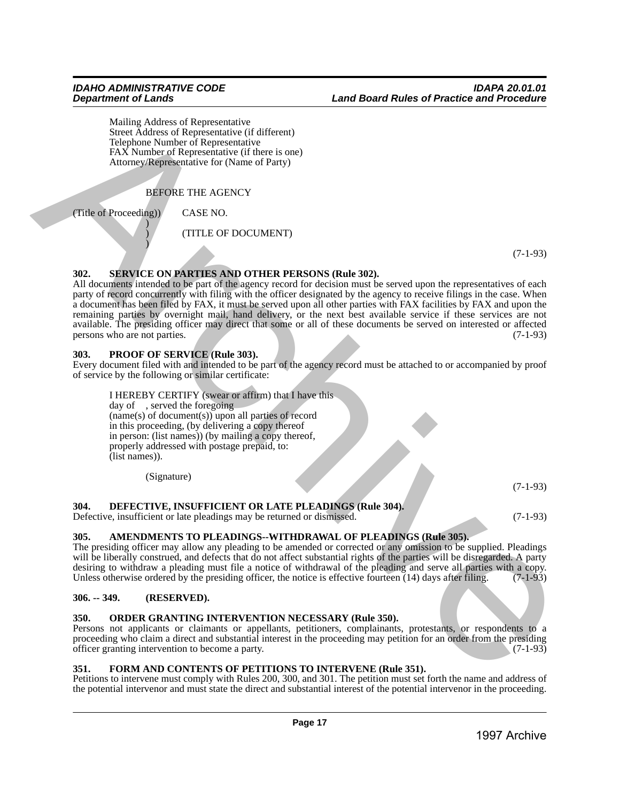Mailing Address of Representative Street Address of Representative (if different) Telephone Number of Representative FAX Number of Representative (if there is one) Attorney/Representative for (Name of Party)

BEFORE THE AGENCY

(Title of Proceeding)) CASE NO. )

)

) (TITLE OF DOCUMENT)

(7-1-93)

## <span id="page-16-0"></span>**302. SERVICE ON PARTIES AND OTHER PERSONS (Rule 302).**

All documents intended to be part of the agency record for decision must be served upon the representatives of each party of record concurrently with filing with the officer designated by the agency to receive filings in the case. When a document has been filed by FAX, it must be served upon all other parties with FAX facilities by FAX and upon the remaining parties by overnight mail, hand delivery, or the next best available service if these services are not available. The presiding officer may direct that some or all of these documents be served on interested or affected persons who are not parties. (7-1-93) persons who are not parties. 3 Martin Collection of Representation of Representation of Representation of Representation of Representation of Representation of Representation of Representation of Representation of Representation of Representation of

## <span id="page-16-1"></span>**303. PROOF OF SERVICE (Rule 303).**

Every document filed with and intended to be part of the agency record must be attached to or accompanied by proof of service by the following or similar certificate:

I HEREBY CERTIFY (swear or affirm) that I have this day of , served the foregoing (name(s) of document(s)) upon all parties of record in this proceeding, (by delivering a copy thereof in person: (list names)) (by mailing a copy thereof, properly addressed with postage prepaid, to: (list names)).

(Signature)

## <span id="page-16-2"></span>**304. DEFECTIVE, INSUFFICIENT OR LATE PLEADINGS (Rule 304).**

Defective, insufficient or late pleadings may be returned or dismissed. (7-1-93)

(7-1-93)

## <span id="page-16-3"></span>**305. AMENDMENTS TO PLEADINGS--WITHDRAWAL OF PLEADINGS (Rule 305).**

The presiding officer may allow any pleading to be amended or corrected or any omission to be supplied. Pleadings will be liberally construed, and defects that do not affect substantial rights of the parties will be disregarded. A party desiring to withdraw a pleading must file a notice of withdrawal of the pleading and serve all parties with a copy.<br>Unless otherwise ordered by the presiding officer, the notice is effective fourteen (14) days after filing Unless otherwise ordered by the presiding officer, the notice is effective fourteen  $(14)$  days after filing.

## <span id="page-16-4"></span>**306. -- 349. (RESERVED).**

## <span id="page-16-5"></span>**350. ORDER GRANTING INTERVENTION NECESSARY (Rule 350).**

Persons not applicants or claimants or appellants, petitioners, complainants, protestants, or respondents to a proceeding who claim a direct and substantial interest in the proceeding may petition for an order from the presiding officer granting intervention to become a party. officer granting intervention to become a party.

## <span id="page-16-6"></span>**351. FORM AND CONTENTS OF PETITIONS TO INTERVENE (Rule 351).**

Petitions to intervene must comply with Rules 200, 300, and 301. The petition must set forth the name and address of the potential intervenor and must state the direct and substantial interest of the potential intervenor in the proceeding.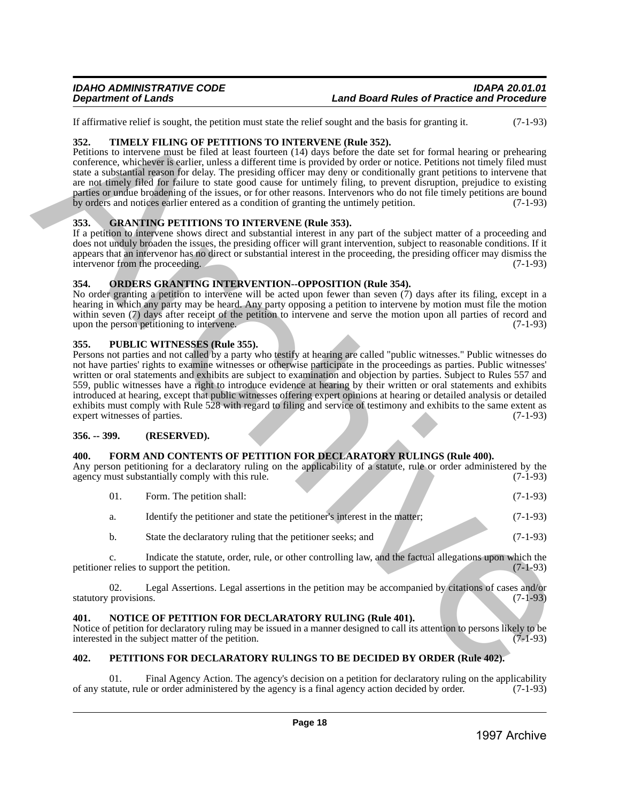If affirmative relief is sought, the petition must state the relief sought and the basis for granting it. (7-1-93)

## <span id="page-17-0"></span>**352. TIMELY FILING OF PETITIONS TO INTERVENE (Rule 352).**

Petitions to intervene must be filed at least fourteen (14) days before the date set for formal hearing or prehearing conference, whichever is earlier, unless a different time is provided by order or notice. Petitions not timely filed must state a substantial reason for delay. The presiding officer may deny or conditionally grant petitions to intervene that are not timely filed for failure to state good cause for untimely filing, to prevent disruption, prejudice to existing parties or undue broadening of the issues, or for other reasons. Intervenors who do not file timely petitions are bound by orders and notices earlier entered as a condition of granting the untimely petition. (7-1-93)

## <span id="page-17-1"></span>**353. GRANTING PETITIONS TO INTERVENE (Rule 353).**

If a petition to intervene shows direct and substantial interest in any part of the subject matter of a proceeding and does not unduly broaden the issues, the presiding officer will grant intervention, subject to reasonable conditions. If it appears that an intervenor has no direct or substantial interest in the proceeding, the presiding officer may dismiss the intervenor from the proceeding. (7-1-93)

## <span id="page-17-2"></span>**354. ORDERS GRANTING INTERVENTION--OPPOSITION (Rule 354).**

No order granting a petition to intervene will be acted upon fewer than seven (7) days after its filing, except in a hearing in which any party may be heard. Any party opposing a petition to intervene by motion must file the motion within seven (7) days after receipt of the petition to intervene and serve the motion upon all parties of record and upon the person petitioning to intervene. (7-1-93)

## <span id="page-17-3"></span>**355. PUBLIC WITNESSES (Rule 355).**

Persons not parties and not called by a party who testify at hearing are called "public witnesses." Public witnesses do not have parties' rights to examine witnesses or otherwise participate in the proceedings as parties. Public witnesses' written or oral statements and exhibits are subject to examination and objection by parties. Subject to Rules 557 and 559, public witnesses have a right to introduce evidence at hearing by their written or oral statements and exhibits introduced at hearing, except that public witnesses offering expert opinions at hearing or detailed analysis or detailed exhibits must comply with Rule 528 with regard to filing and service of testimony and exhibits to the same extent as expert witnesses of parties. (7-1-93) It interacts that is sugarchive to the state of the basis in the basis has been been at the state of the state of the state of the state of the state of the state of the state of the state of the state of the state of th

## <span id="page-17-4"></span>**356. -- 399. (RESERVED).**

## <span id="page-17-5"></span>**400. FORM AND CONTENTS OF PETITION FOR DECLARATORY RULINGS (Rule 400).**

Any person petitioning for a declaratory ruling on the applicability of a statute, rule or order administered by the agency must substantially comply with this rule. (7-1-93) agency must substantially comply with this rule.

| -01. | Form. The petition shall:                                                  | $(7-1-93)$ |
|------|----------------------------------------------------------------------------|------------|
| a.   | Identify the petitioner and state the petitioner's interest in the matter; | $(7-1-93)$ |
| b.   | State the declaratory ruling that the petitioner seeks; and                | $(7-1-93)$ |

c. Indicate the statute, order, rule, or other controlling law, and the factual allegations upon which the relies to support the petition. (7-1-93) petitioner relies to support the petition.

02. Legal Assertions. Legal assertions in the petition may be accompanied by citations of cases and/or statutory provisions. (7-1-93)

## <span id="page-17-6"></span>**401. NOTICE OF PETITION FOR DECLARATORY RULING (Rule 401).**

Notice of petition for declaratory ruling may be issued in a manner designed to call its attention to persons likely to be interested in the subject matter of the petition. (7-1-93)

## <span id="page-17-7"></span>**402. PETITIONS FOR DECLARATORY RULINGS TO BE DECIDED BY ORDER (Rule 402).**

Final Agency Action. The agency's decision on a petition for declaratory ruling on the applicability e or order administered by the agency is a final agency action decided by order. (7-1-93) of any statute, rule or order administered by the agency is a final agency action decided by order.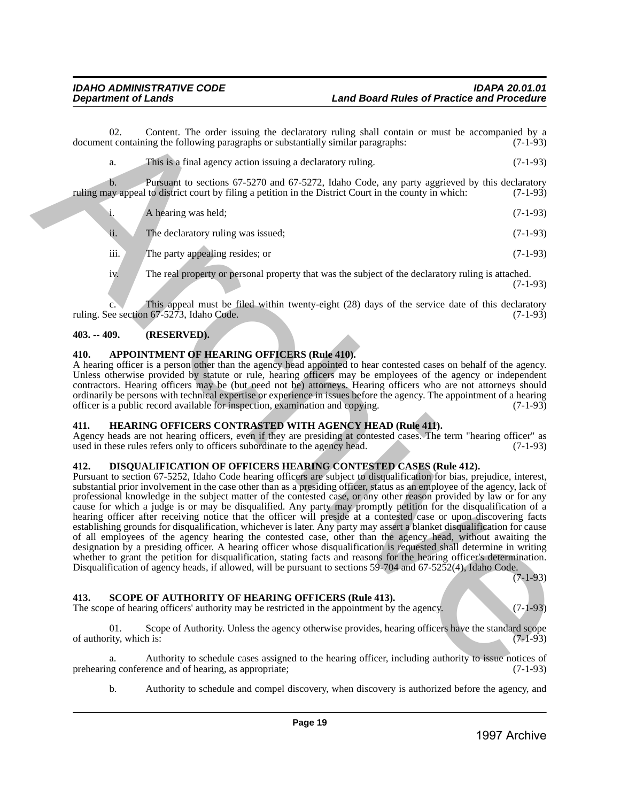02. Content. The order issuing the declaratory ruling shall contain or must be accompanied by a trivial containing the following paragraphs or substantially similar paragraphs:  $(7-1-93)$ document containing the following paragraphs or substantially similar paragraphs:

| This is a final agency action issuing a declaratory ruling. | $(7-1-93)$ |
|-------------------------------------------------------------|------------|
|                                                             |            |

b. Pursuant to sections 67-5270 and 67-5272, Idaho Code, any party aggrieved by this declaratory ruling may appeal to district court by filing a petition in the District Court in the county in which: (7-1-93)

|      | A hearing was held;                                                                                | $(7-1-93)$ |
|------|----------------------------------------------------------------------------------------------------|------------|
| ii.  | The declaratory ruling was issued;                                                                 | $(7-1-93)$ |
| iii. | The party appealing resides; or                                                                    | $(7-1-93)$ |
| iv.  | The real property or personal property that was the subject of the declaratory ruling is attached. | (7-1-93)   |

This appeal must be filed within twenty-eight  $(28)$  days of the service date of this declaratory  $167-5273$ . Idaho Code.  $(7-1-93)$ ruling. See section  $67-5273$ , Idaho Code.

## <span id="page-18-0"></span>**403. -- 409. (RESERVED).**

## <span id="page-18-1"></span>**410. APPOINTMENT OF HEARING OFFICERS (Rule 410).**

A hearing officer is a person other than the agency head appointed to hear contested cases on behalf of the agency. Unless otherwise provided by statute or rule, hearing officers may be employees of the agency or independent contractors. Hearing officers may be (but need not be) attorneys. Hearing officers who are not attorneys should ordinarily be persons with technical expertise or experience in issues before the agency. The appointment of a hearing officer is a public record available for inspection, examination and copying. (7-1-93) officer is a public record available for inspection, examination and copying.

## <span id="page-18-2"></span>**411. HEARING OFFICERS CONTRASTED WITH AGENCY HEAD (Rule 411).**

Agency heads are not hearing officers, even if they are presiding at contested cases. The term "hearing officer" as used in these rules refers only to officers subordinate to the agency head. (7-1-93) used in these rules refers only to officers subordinate to the agency head.

## <span id="page-18-3"></span>**412. DISQUALIFICATION OF OFFICERS HEARING CONTESTED CASES (Rule 412).**

Pursuant to section 67-5252, Idaho Code hearing officers are subject to disqualification for bias, prejudice, interest, substantial prior involvement in the case other than as a presiding officer, status as an employee of the agency, lack of professional knowledge in the subject matter of the contested case, or any other reason provided by law or for any cause for which a judge is or may be disqualified. Any party may promptly petition for the disqualification of a hearing officer after receiving notice that the officer will preside at a contested case or upon discovering facts establishing grounds for disqualification, whichever is later. Any party may assert a blanket disqualification for cause of all employees of the agency hearing the contested case, other than the agency head, without awaiting the designation by a presiding officer. A hearing officer whose disqualification is requested shall determine in writing whether to grant the petition for disqualification, stating facts and reasons for the hearing officer's determination. Disqualification of agency heads, if allowed, will be pursuant to sections 59-704 and 67-5252(4), Idaho Code. **EXERC THE EXECUTION CONTROLLER CONTROLLER CONTROLLER CONTROLLER CONTROLLER CONTROLLER CONTROLLER CONTROLLER CONTROLLER CONTROLLER CONTROLLER CONTROLLER CONTROLLER CONTROLLER CONTROLLER CONTROLLER CONTROLLER CONTROLLER C** 

(7-1-93)

## <span id="page-18-4"></span>**413. SCOPE OF AUTHORITY OF HEARING OFFICERS (Rule 413).**

The scope of hearing officers' authority may be restricted in the appointment by the agency. (7-1-93)

01. Scope of Authority. Unless the agency otherwise provides, hearing officers have the standard scope of authority, which is:  $(7-1-93)$ 

a. Authority to schedule cases assigned to the hearing officer, including authority to issue notices of ng conference and of hearing, as appropriate; (7-1-93) prehearing conference and of hearing, as appropriate;

b. Authority to schedule and compel discovery, when discovery is authorized before the agency, and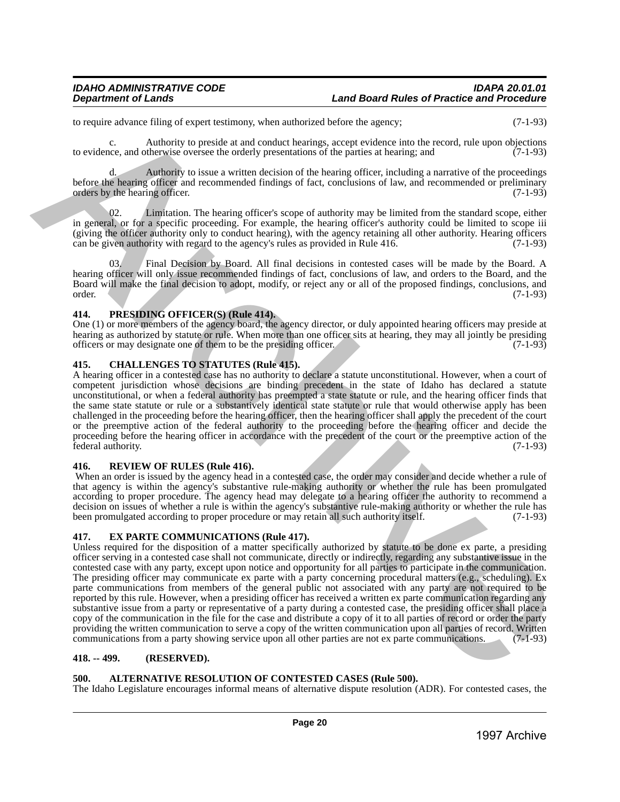to require advance filing of expert testimony, when authorized before the agency; (7-1-93)

c. Authority to preside at and conduct hearings, accept evidence into the record, rule upon objections to evidence, and otherwise oversee the orderly presentations of the parties at hearing; and (7-1-93)

d. Authority to issue a written decision of the hearing officer, including a narrative of the proceedings before the hearing officer and recommended findings of fact, conclusions of law, and recommended or preliminary orders by the hearing officer. (7-1-93)

Limitation. The hearing officer's scope of authority may be limited from the standard scope, either in general, or for a specific proceeding. For example, the hearing officer's authority could be limited to scope iii (giving the officer authority only to conduct hearing), with the agency retaining all other authority. Hearing officers can be given authority with regard to the agency's rules as provided in Rule 416.  $(7-1-93)$ can be given authority with regard to the agency's rules as provided in Rule 416.

03. Final Decision by Board. All final decisions in contested cases will be made by the Board. A hearing officer will only issue recommended findings of fact, conclusions of law, and orders to the Board, and the Board will make the final decision to adopt, modify, or reject any or all of the proposed findings, conclusions, and order. (7-1-93) order. (7-1-93)

## <span id="page-19-0"></span>**414. PRESIDING OFFICER(S) (Rule 414).**

One (1) or more members of the agency board, the agency director, or duly appointed hearing officers may preside at hearing as authorized by statute or rule. When more than one officer sits at hearing, they may all jointly be presiding officers or may designate one of them to be the presiding officer. officers or may designate one of them to be the presiding officer.

## <span id="page-19-1"></span>**415. CHALLENGES TO STATUTES (Rule 415).**

A hearing officer in a contested case has no authority to declare a statute unconstitutional. However, when a court of competent jurisdiction whose decisions are binding precedent in the state of Idaho has declared a statute unconstitutional, or when a federal authority has preempted a state statute or rule, and the hearing officer finds that the same state statute or rule or a substantively identical state statute or rule that would otherwise apply has been challenged in the proceeding before the hearing officer, then the hearing officer shall apply the precedent of the court or the preemptive action of the federal authority to the proceeding before the hearing officer and decide the proceeding before the hearing officer in accordance with the precedent of the court or the preemptive action of the federal authority. (7-1-93)

## <span id="page-19-2"></span>**416. REVIEW OF RULES (Rule 416).**

 When an order is issued by the agency head in a contested case, the order may consider and decide whether a rule of that agency is within the agency's substantive rule-making authority or whether the rule has been promulgated according to proper procedure. The agency head may delegate to a hearing officer the authority to recommend a decision on issues of whether a rule is within the agency's substantive rule-making authority or whether the rule has been promulgated according to proper procedure or may retain all such authority itself. (7-1-93) been promulgated according to proper procedure or may retain all such authority itself.

## <span id="page-19-3"></span>**417. EX PARTE COMMUNICATIONS (Rule 417).**

Unless required for the disposition of a matter specifically authorized by statute to be done ex parte, a presiding officer serving in a contested case shall not communicate, directly or indirectly, regarding any substantive issue in the contested case with any party, except upon notice and opportunity for all parties to participate in the communication. The presiding officer may communicate ex parte with a party concerning procedural matters (e.g., scheduling). Ex parte communications from members of the general public not associated with any party are not required to be reported by this rule. However, when a presiding officer has received a written ex parte communication regarding any substantive issue from a party or representative of a party during a contested case, the presiding officer shall place a copy of the communication in the file for the case and distribute a copy of it to all parties of record or order the party providing the written communication to serve a copy of the written communication upon all parties of record. Written communications from a party showing service upon all other parties are not ex parte communications. (7-1-93) b requires during the contribution when a minimized below the space; ratio is controlled to the controlled to the controlled to the controlled to the controlled to the controlled to the controlled to the controlled to th

## <span id="page-19-4"></span>**418. -- 499. (RESERVED).**

## <span id="page-19-5"></span>**500. ALTERNATIVE RESOLUTION OF CONTESTED CASES (Rule 500).**

The Idaho Legislature encourages informal means of alternative dispute resolution (ADR). For contested cases, the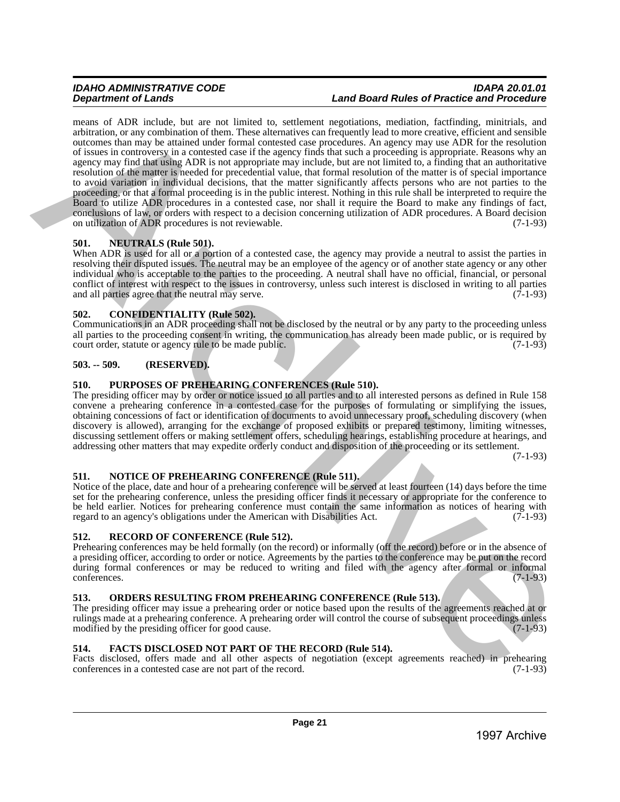## *IDAHO ADMINISTRATIVE CODE IDAPA 20.01.01* **Land Board Rules of Practice and Procedure**

means of ADR include, but are not limited to, settlement negotiations, mediation, factfinding, minitrials, and arbitration, or any combination of them. These alternatives can frequently lead to more creative, efficient and sensible outcomes than may be attained under formal contested case procedures. An agency may use ADR for the resolution of issues in controversy in a contested case if the agency finds that such a proceeding is appropriate. Reasons why an agency may find that using ADR is not appropriate may include, but are not limited to, a finding that an authoritative resolution of the matter is needed for precedential value, that formal resolution of the matter is of special importance to avoid variation in individual decisions, that the matter significantly affects persons who are not parties to the proceeding, or that a formal proceeding is in the public interest. Nothing in this rule shall be interpreted to require the Board to utilize ADR procedures in a contested case, nor shall it require the Board to make any findings of fact, conclusions of law, or orders with respect to a decision concerning utilization of ADR procedures. A Board decision on utilization of ADR procedures is not reviewable. (7-1-93) means of ARIC multiple is the set limited in the specifical polyestics. particular in the specific statistics of the specific statistics of the specific statistics of the specific statistics of the specific statistics of

## <span id="page-20-0"></span>**501. NEUTRALS (Rule 501).**

When ADR is used for all or a portion of a contested case, the agency may provide a neutral to assist the parties in resolving their disputed issues. The neutral may be an employee of the agency or of another state agency or any other individual who is acceptable to the parties to the proceeding. A neutral shall have no official, financial, or personal conflict of interest with respect to the issues in controversy, unless such interest is disclosed in writing to all parties and all parties agree that the neutral may serve. and all parties agree that the neutral may serve.

## <span id="page-20-1"></span>**502. CONFIDENTIALITY (Rule 502).**

Communications in an ADR proceeding shall not be disclosed by the neutral or by any party to the proceeding unless all parties to the proceeding consent in writing, the communication has already been made public, or is required by court order, statute or agency rule to be made public. (7-1-93) court order, statute or agency rule to be made public.

## <span id="page-20-2"></span>**503. -- 509. (RESERVED).**

## <span id="page-20-3"></span>**510. PURPOSES OF PREHEARING CONFERENCES (Rule 510).**

The presiding officer may by order or notice issued to all parties and to all interested persons as defined in Rule 158 convene a prehearing conference in a contested case for the purposes of formulating or simplifying the issues, obtaining concessions of fact or identification of documents to avoid unnecessary proof, scheduling discovery (when discovery is allowed), arranging for the exchange of proposed exhibits or prepared testimony, limiting witnesses, discussing settlement offers or making settlement offers, scheduling hearings, establishing procedure at hearings, and addressing other matters that may expedite orderly conduct and disposition of the proceeding or its settlement.

(7-1-93)

## <span id="page-20-4"></span>**511. NOTICE OF PREHEARING CONFERENCE (Rule 511).**

Notice of the place, date and hour of a prehearing conference will be served at least fourteen (14) days before the time set for the prehearing conference, unless the presiding officer finds it necessary or appropriate for the conference to be held earlier. Notices for prehearing conference must contain the same information as notices of hearing with regard to an agency's obligations under the American with Disabilities Act. (7-1-93) regard to an agency's obligations under the American with Disabilities Act.

## <span id="page-20-5"></span>**512. RECORD OF CONFERENCE (Rule 512).**

Prehearing conferences may be held formally (on the record) or informally (off the record) before or in the absence of a presiding officer, according to order or notice. Agreements by the parties to the conference may be put on the record during formal conferences or may be reduced to writing and filed with the agency after formal or informal conferences. (7-1-93) conferences. (7-1-93)

## <span id="page-20-6"></span>**513. ORDERS RESULTING FROM PREHEARING CONFERENCE (Rule 513).**

The presiding officer may issue a prehearing order or notice based upon the results of the agreements reached at or rulings made at a prehearing conference. A prehearing order will control the course of subsequent proceedings unless<br>modified by the presiding officer for good cause. modified by the presiding officer for good cause.

## <span id="page-20-7"></span>**514. FACTS DISCLOSED NOT PART OF THE RECORD (Rule 514).**

Facts disclosed, offers made and all other aspects of negotiation (except agreements reached) in prehearing conferences in a contested case are not part of the record. (7-1-93) conferences in a contested case are not part of the record.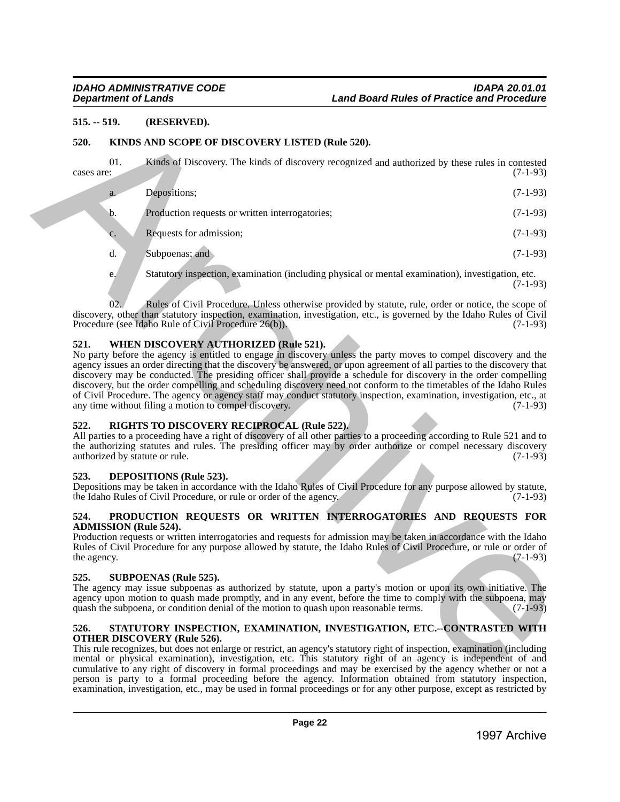## <span id="page-21-0"></span>**515. -- 519. (RESERVED).**

## <span id="page-21-1"></span>**520. KINDS AND SCOPE OF DISCOVERY LISTED (Rule 520).**

| $515. - 519.$       |     | (RESERVED).                                                                                                                                                                                                                                                                                                                                                                                                                                                                                                                                                                                                                                                                                                        |            |
|---------------------|-----|--------------------------------------------------------------------------------------------------------------------------------------------------------------------------------------------------------------------------------------------------------------------------------------------------------------------------------------------------------------------------------------------------------------------------------------------------------------------------------------------------------------------------------------------------------------------------------------------------------------------------------------------------------------------------------------------------------------------|------------|
| 520.                |     | KINDS AND SCOPE OF DISCOVERY LISTED (Rule 520).                                                                                                                                                                                                                                                                                                                                                                                                                                                                                                                                                                                                                                                                    |            |
| cases are:          | 01. | Kinds of Discovery. The kinds of discovery recognized and authorized by these rules in contested                                                                                                                                                                                                                                                                                                                                                                                                                                                                                                                                                                                                                   | $(7-1-93)$ |
|                     | a.  | Depositions;                                                                                                                                                                                                                                                                                                                                                                                                                                                                                                                                                                                                                                                                                                       | $(7-1-93)$ |
|                     | b.  | Production requests or written interrogatories;                                                                                                                                                                                                                                                                                                                                                                                                                                                                                                                                                                                                                                                                    | $(7-1-93)$ |
|                     | c.  | Requests for admission;                                                                                                                                                                                                                                                                                                                                                                                                                                                                                                                                                                                                                                                                                            | $(7-1-93)$ |
|                     | d.  | Subpoenas; and                                                                                                                                                                                                                                                                                                                                                                                                                                                                                                                                                                                                                                                                                                     | $(7-1-93)$ |
|                     | e.  | Statutory inspection, examination (including physical or mental examination), investigation, etc.                                                                                                                                                                                                                                                                                                                                                                                                                                                                                                                                                                                                                  | $(7-1-93)$ |
|                     | 02. | Rules of Civil Procedure. Unless otherwise provided by statute, rule, order or notice, the scope of<br>discovery, other than statutory inspection, examination, investigation, etc., is governed by the Idaho Rules of Civil<br>Procedure (see Idaho Rule of Civil Procedure 26(b)).                                                                                                                                                                                                                                                                                                                                                                                                                               | $(7-1-93)$ |
| 521.                |     | WHEN DISCOVERY AUTHORIZED (Rule 521).<br>No party before the agency is entitled to engage in discovery unless the party moves to compel discovery and the<br>agency issues an order directing that the discovery be answered, or upon agreement of all parties to the discovery that<br>discovery may be conducted. The presiding officer shall provide a schedule for discovery in the order compelling<br>discovery, but the order compelling and scheduling discovery need not conform to the timetables of the Idaho Rules<br>of Civil Procedure. The agency or agency staff may conduct statutory inspection, examination, investigation, etc., at<br>any time without filing a motion to compel discovery.   | $(7-1-93)$ |
| 522.                |     | RIGHTS TO DISCOVERY RECIPROCAL (Rule 522).<br>All parties to a proceeding have a right of discovery of all other parties to a proceeding according to Rule 521 and to<br>the authorizing statutes and rules. The presiding officer may by order authorize or compel necessary discovery<br>authorized by statute or rule.                                                                                                                                                                                                                                                                                                                                                                                          | $(7-1-93)$ |
| 523.                |     | <b>DEPOSITIONS</b> (Rule 523).<br>Depositions may be taken in accordance with the Idaho Rules of Civil Procedure for any purpose allowed by statute,<br>the Idaho Rules of Civil Procedure, or rule or order of the agency.                                                                                                                                                                                                                                                                                                                                                                                                                                                                                        | $(7-1-93)$ |
| 524.<br>the agency. |     | PRODUCTION REQUESTS OR WRITTEN INTERROGATORIES AND REQUESTS FOR<br><b>ADMISSION</b> (Rule 524).<br>Production requests or written interrogatories and requests for admission may be taken in accordance with the Idaho<br>Rules of Civil Procedure for any purpose allowed by statute, the Idaho Rules of Civil Procedure, or rule or order of                                                                                                                                                                                                                                                                                                                                                                     | $(7-1-93)$ |
| 525.                |     | <b>SUBPOENAS (Rule 525).</b><br>The agency may issue subpoenas as authorized by statute, upon a party's motion or upon its own initiative. The<br>agency upon motion to quash made promptly, and in any event, before the time to comply with the subpoena, may<br>quash the subpoena, or condition denial of the motion to quash upon reasonable terms.                                                                                                                                                                                                                                                                                                                                                           | $(7-1-93)$ |
| 526.                |     | STATUTORY INSPECTION, EXAMINATION, INVESTIGATION, ETC.--CONTRASTED WITH<br><b>OTHER DISCOVERY (Rule 526).</b><br>This rule recognizes, but does not enlarge or restrict, an agency's statutory right of inspection, examination (including<br>mental or physical examination), investigation, etc. This statutory right of an agency is independent of and<br>cumulative to any right of discovery in formal proceedings and may be exercised by the agency whether or not a<br>person is party to a formal proceeding before the agency. Information obtained from statutory inspection,<br>examination, investigation, etc., may be used in formal proceedings or for any other purpose, except as restricted by |            |
|                     |     |                                                                                                                                                                                                                                                                                                                                                                                                                                                                                                                                                                                                                                                                                                                    |            |

## <span id="page-21-2"></span>**521. WHEN DISCOVERY AUTHORIZED (Rule 521).**

## <span id="page-21-3"></span>**522. RIGHTS TO DISCOVERY RECIPROCAL (Rule 522).**

## <span id="page-21-4"></span>**523. DEPOSITIONS (Rule 523).**

## <span id="page-21-5"></span>**524. PRODUCTION REQUESTS OR WRITTEN INTERROGATORIES AND REQUESTS FOR ADMISSION (Rule 524).**

## <span id="page-21-6"></span>**525. SUBPOENAS (Rule 525).**

## <span id="page-21-7"></span>**526. STATUTORY INSPECTION, EXAMINATION, INVESTIGATION, ETC.--CONTRASTED WITH OTHER DISCOVERY (Rule 526).**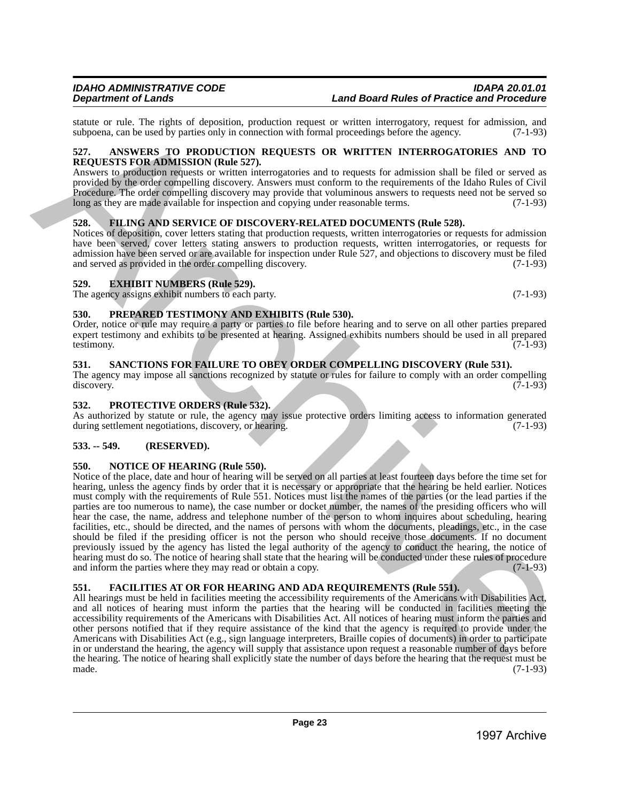<span id="page-22-0"></span>**REQUESTS FOR ADMISSION (Rule 527).**  Answers to production requests or written interrogatories and to requests for admission shall be filed or served as provided by the order compelling discovery. Answers must conform to the requirements of the Idaho Rules of Civil Procedure. The order compelling discovery may provide that voluminous answers to requests need not be served so long as they are made available for inspection and copying under reasonable terms. (7-1-93) long as they are made available for inspection and copying under reasonable terms.

## <span id="page-22-1"></span>**528. FILING AND SERVICE OF DISCOVERY-RELATED DOCUMENTS (Rule 528).**

Notices of deposition, cover letters stating that production requests, written interrogatories or requests for admission have been served, cover letters stating answers to production requests, written interrogatories, or requests for admission have been served or are available for inspection under Rule 527, and objections to discovery must be filed and served as provided in the order compelling discovery. (7-1-93)

## <span id="page-22-2"></span>**529. EXHIBIT NUMBERS (Rule 529).**

The agency assigns exhibit numbers to each party. (7-1-93)

## <span id="page-22-3"></span>**530. PREPARED TESTIMONY AND EXHIBITS (Rule 530).**

Order, notice or rule may require a party or parties to file before hearing and to serve on all other parties prepared expert testimony and exhibits to be presented at hearing. Assigned exhibits numbers should be used in all prepared testimony. testimony. (7-1-93)

## <span id="page-22-4"></span>**531. SANCTIONS FOR FAILURE TO OBEY ORDER COMPELLING DISCOVERY (Rule 531).**

The agency may impose all sanctions recognized by statute or rules for failure to comply with an order compelling discovery. (7-1-93) discovery. (7-1-93)

## <span id="page-22-5"></span>**532. PROTECTIVE ORDERS (Rule 532).**

As authorized by statute or rule, the agency may issue protective orders limiting access to information generated during settlement negotiations, discovery, or hearing. (7-1-93)

## <span id="page-22-6"></span>**533. -- 549. (RESERVED).**

## <span id="page-22-7"></span>**550. NOTICE OF HEARING (Rule 550).**

Notice of the place, date and hour of hearing will be served on all parties at least fourteen days before the time set for hearing, unless the agency finds by order that it is necessary or appropriate that the hearing be held earlier. Notices must comply with the requirements of Rule 551. Notices must list the names of the parties (or the lead parties if the parties are too numerous to name), the case number or docket number, the names of the presiding officers who will hear the case, the name, address and telephone number of the person to whom inquires about scheduling, hearing facilities, etc., should be directed, and the names of persons with whom the documents, pleadings, etc., in the case should be filed if the presiding officer is not the person who should receive those documents. If no document previously issued by the agency has listed the legal authority of the agency to conduct the hearing, the notice of hearing must do so. The notice of hearing shall state that the hearing will be conducted under these rules of procedure and inform the parties where they may read or obtain a copy. and inform the parties where they may read or obtain a copy. state or and, like tights of depending the<br>state of the redshifted specifical energy and the value of state interactions applies the<br>state of the redshift of the redshift of the redshift of the redshift of<br> $\Omega$ . The redsh

## <span id="page-22-8"></span>**551. FACILITIES AT OR FOR HEARING AND ADA REQUIREMENTS (Rule 551).**

All hearings must be held in facilities meeting the accessibility requirements of the Americans with Disabilities Act, and all notices of hearing must inform the parties that the hearing will be conducted in facilities meeting the accessibility requirements of the Americans with Disabilities Act. All notices of hearing must inform the parties and other persons notified that if they require assistance of the kind that the agency is required to provide under the Americans with Disabilities Act (e.g., sign language interpreters, Braille copies of documents) in order to participate in or understand the hearing, the agency will supply that assistance upon request a reasonable number of days before the hearing. The notice of hearing shall explicitly state the number of days before the hearing that the request must be made. (7-1-93) made.  $(7-1-93)$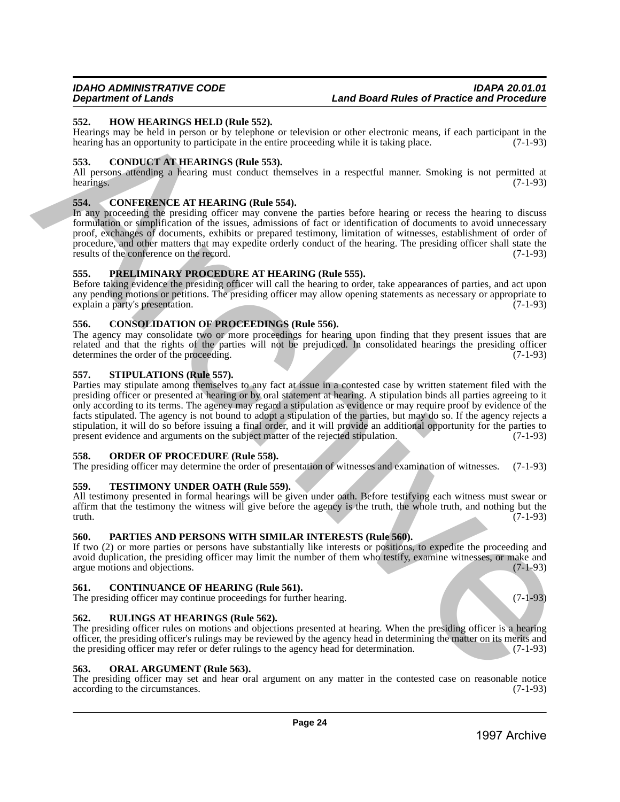## <span id="page-23-0"></span>**552. HOW HEARINGS HELD (Rule 552).**

Hearings may be held in person or by telephone or television or other electronic means, if each participant in the hearing has an opportunity to participate in the entire proceeding while it is taking place.  $(7-1-93)$ 

## <span id="page-23-1"></span>**553. CONDUCT AT HEARINGS (Rule 553).**

All persons attending a hearing must conduct themselves in a respectful manner. Smoking is not permitted at hearings. (7-1-93) hearings.  $(7-1-93)$ 

## <span id="page-23-2"></span>**554. CONFERENCE AT HEARING (Rule 554).**

In any proceeding the presiding officer may convene the parties before hearing or recess the hearing to discuss formulation or simplification of the issues, admissions of fact or identification of documents to avoid unnecessary proof, exchanges of documents, exhibits or prepared testimony, limitation of witnesses, establishment of order of procedure, and other matters that may expedite orderly conduct of the hearing. The presiding officer shall state the results of the conference on the record. (7-1-93) results of the conference on the record.

## <span id="page-23-3"></span>**555. PRELIMINARY PROCEDURE AT HEARING (Rule 555).**

Before taking evidence the presiding officer will call the hearing to order, take appearances of parties, and act upon any pending motions or petitions. The presiding officer may allow opening statements as necessary or appropriate to explain a party's presentation. (7-1-93)

## <span id="page-23-4"></span>**556. CONSOLIDATION OF PROCEEDINGS (Rule 556).**

The agency may consolidate two or more proceedings for hearing upon finding that they present issues that are related and that the rights of the parties will not be prejudiced. In consolidated hearings the presiding officer determines the order of the proceeding. (7-1-93) determines the order of the proceeding.

## <span id="page-23-5"></span>**557. STIPULATIONS (Rule 557).**

Parties may stipulate among themselves to any fact at issue in a contested case by written statement filed with the presiding officer or presented at hearing or by oral statement at hearing. A stipulation binds all parties agreeing to it only according to its terms. The agency may regard a stipulation as evidence or may require proof by evidence of the facts stipulated. The agency is not bound to adopt a stipulation of the parties, but may do so. If the agency rejects a stipulation, it will do so before issuing a final order, and it will provide an additional opportunity for the parties to present evidence and arguments on the subject matter of the rejected stipulation. (7-1-93) present evidence and arguments on the subject matter of the rejected stipulation. 53. However and the state of the SSA, a restricted by the state of which are not obtained the state of the state of the state of the state of the state of the state of the state of the state of the state of the state of

## <span id="page-23-6"></span>**558. ORDER OF PROCEDURE (Rule 558).**

The presiding officer may determine the order of presentation of witnesses and examination of witnesses. (7-1-93)

## <span id="page-23-7"></span>**559. TESTIMONY UNDER OATH (Rule 559).**

All testimony presented in formal hearings will be given under oath. Before testifying each witness must swear or affirm that the testimony the witness will give before the agency is the truth, the whole truth, and nothing but the truth.  $(7-1-93)$ truth.  $(7-1-93)$ 

## <span id="page-23-8"></span>**560. PARTIES AND PERSONS WITH SIMILAR INTERESTS (Rule 560).**

If two (2) or more parties or persons have substantially like interests or positions, to expedite the proceeding and avoid duplication, the presiding officer may limit the number of them who testify, examine witnesses, or make and argue motions and objections. (7-1-93) argue motions and objections.

## <span id="page-23-9"></span>**561. CONTINUANCE OF HEARING (Rule 561).**

The presiding officer may continue proceedings for further hearing. (7-1-93)

## <span id="page-23-10"></span>**562. RULINGS AT HEARINGS (Rule 562).**

The presiding officer rules on motions and objections presented at hearing. When the presiding officer is a hearing officer, the presiding officer's rulings may be reviewed by the agency head in determining the matter on its merits and the presiding officer may refer or defer rulings to the agency head for determination. (7-1-93)

## <span id="page-23-11"></span>**563. ORAL ARGUMENT (Rule 563).**

The presiding officer may set and hear oral argument on any matter in the contested case on reasonable notice according to the circumstances. (7-1-93) according to the circumstances.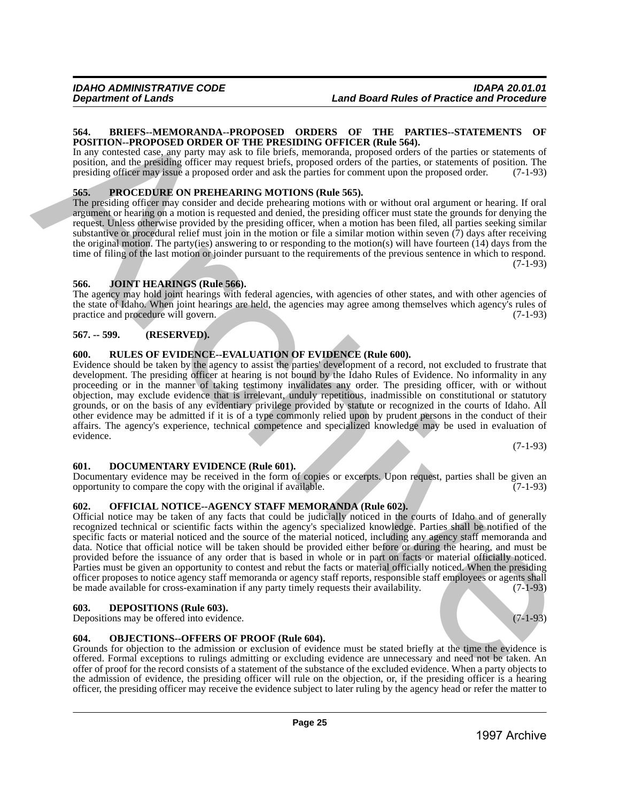## <span id="page-24-0"></span>**564. BRIEFS--MEMORANDA--PROPOSED ORDERS OF THE PARTIES--STATEMENTS OF POSITION--PROPOSED ORDER OF THE PRESIDING OFFICER (Rule 564).**

In any contested case, any party may ask to file briefs, memoranda, proposed orders of the parties or statements of position, and the presiding officer may request briefs, proposed orders of the parties, or statements of position. The presiding officer may issue a proposed order and ask the parties for comment upon the proposed order. (7-1-93)

## <span id="page-24-1"></span>**565. PROCEDURE ON PREHEARING MOTIONS (Rule 565).**

The presiding officer may consider and decide prehearing motions with or without oral argument or hearing. If oral argument or hearing on a motion is requested and denied, the presiding officer must state the grounds for denying the request. Unless otherwise provided by the presiding officer, when a motion has been filed, all parties seeking similar substantive or procedural relief must join in the motion or file a similar motion within seven (7) days after receiving the original motion. The party(ies) answering to or responding to the motion(s) will have fourteen  $(14)$  days from the time of filing of the last motion or joinder pursuant to the requirements of the previous sentence in which to respond. (7-1-93)

## <span id="page-24-2"></span>**566. JOINT HEARINGS (Rule 566).**

The agency may hold joint hearings with federal agencies, with agencies of other states, and with other agencies of the state of Idaho. When joint hearings are held, the agencies may agree among themselves which agency's rules of practice and procedure will govern. (7-1-93) practice and procedure will govern.

## <span id="page-24-3"></span>**567. -- 599. (RESERVED).**

## <span id="page-24-4"></span>**600. RULES OF EVIDENCE--EVALUATION OF EVIDENCE (Rule 600).**

Evidence should be taken by the agency to assist the parties' development of a record, not excluded to frustrate that development. The presiding officer at hearing is not bound by the Idaho Rules of Evidence. No informality in any proceeding or in the manner of taking testimony invalidates any order. The presiding officer, with or without objection, may exclude evidence that is irrelevant, unduly repetitious, inadmissible on constitutional or statutory grounds, or on the basis of any evidentiary privilege provided by statute or recognized in the courts of Idaho. All other evidence may be admitted if it is of a type commonly relied upon by prudent persons in the conduct of their affairs. The agency's experience, technical competence and specialized knowledge may be used in evaluation of evidence. **54.** A BRIFAN ATTENOTE ATTENOTE CONDETES. OF THE PARTIES ATTENETS OF NEW ARRESTS OF NEW ARRESTS OF NEW ARRESTS OF NEW ARRESTS OF NEW ARRESTS OF NEW ARRESTS OF NEW ARRESTS OF NEW ARRESTS OF NEW ARRESTS OF NEW ARRESTS OF N

(7-1-93)

## <span id="page-24-5"></span>**601. DOCUMENTARY EVIDENCE (Rule 601).**

Documentary evidence may be received in the form of copies or excerpts. Upon request, parties shall be given an opportunity to compare the copy with the original if available. (7-1-93) opportunity to compare the copy with the original if available.

## <span id="page-24-6"></span>**602. OFFICIAL NOTICE--AGENCY STAFF MEMORANDA (Rule 602).**

Official notice may be taken of any facts that could be judicially noticed in the courts of Idaho and of generally recognized technical or scientific facts within the agency's specialized knowledge. Parties shall be notified of the specific facts or material noticed and the source of the material noticed, including any agency staff memoranda and data. Notice that official notice will be taken should be provided either before or during the hearing, and must be provided before the issuance of any order that is based in whole or in part on facts or material officially noticed. Parties must be given an opportunity to contest and rebut the facts or material officially noticed. When the presiding officer proposes to notice agency staff memoranda or agency staff reports, responsible staff employees or agents shall<br>be made available for cross-examination if any party timely requests their availability. (7-1-93) be made available for cross-examination if any party timely requests their availability.

## <span id="page-24-7"></span>**603. DEPOSITIONS (Rule 603).**

Depositions may be offered into evidence. (7-1-93)

## <span id="page-24-8"></span>**604. OBJECTIONS--OFFERS OF PROOF (Rule 604).**

Grounds for objection to the admission or exclusion of evidence must be stated briefly at the time the evidence is offered. Formal exceptions to rulings admitting or excluding evidence are unnecessary and need not be taken. An offer of proof for the record consists of a statement of the substance of the excluded evidence. When a party objects to the admission of evidence, the presiding officer will rule on the objection, or, if the presiding officer is a hearing officer, the presiding officer may receive the evidence subject to later ruling by the agency head or refer the matter to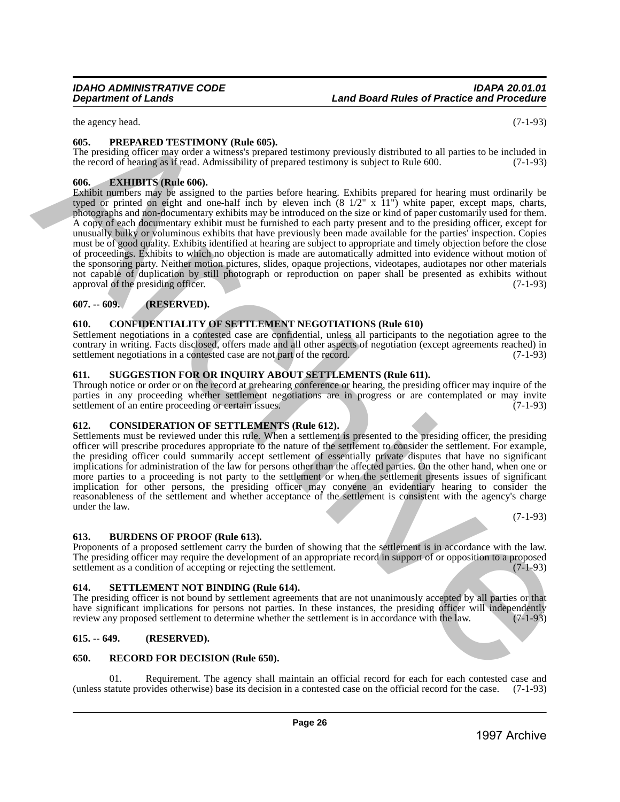## *IDAHO ADMINISTRATIVE CODE IDAPA 20.01.01* **Land Board Rules of Practice and Procedure**

the agency head. (7-1-93)

## <span id="page-25-0"></span>**605. PREPARED TESTIMONY (Rule 605).**

The presiding officer may order a witness's prepared testimony previously distributed to all parties to be included in the record of hearing as if read. Admissibility of prepared testimony is subject to Rule 600.

## <span id="page-25-1"></span>**606. EXHIBITS (Rule 606).**

Exhibit numbers may be assigned to the parties before hearing. Exhibits prepared for hearing must ordinarily be typed or printed on eight and one-half inch by eleven inch (8 1/2" x 11") white paper, except maps, charts, photographs and non-documentary exhibits may be introduced on the size or kind of paper customarily used for them. A copy of each documentary exhibit must be furnished to each party present and to the presiding officer, except for unusually bulky or voluminous exhibits that have previously been made available for the parties' inspection. Copies must be of good quality. Exhibits identified at hearing are subject to appropriate and timely objection before the close of proceedings. Exhibits to which no objection is made are automatically admitted into evidence without motion of the sponsoring party. Neither motion pictures, slides, opaque projections, videotapes, audiotapes nor other materials not capable of duplication by still photograph or reproduction on paper shall be presented as exhibits without approval of the presiding officer. (7-1-93) tic appears on the the main consistent of the main consistent in the main consistent of the main consistent in the main consistent of the main consistent in the main consistent of the main consistent in the main consisten

## <span id="page-25-2"></span>**607. -- 609. (RESERVED).**

## <span id="page-25-3"></span>**610. CONFIDENTIALITY OF SETTLEMENT NEGOTIATIONS (Rule 610)**

Settlement negotiations in a contested case are confidential, unless all participants to the negotiation agree to the contrary in writing. Facts disclosed, offers made and all other aspects of negotiation (except agreements reached) in settlement negotiations in a contested case are not part of the record. (7-1-93)

## <span id="page-25-4"></span>**611. SUGGESTION FOR OR INQUIRY ABOUT SETTLEMENTS (Rule 611).**

Through notice or order or on the record at prehearing conference or hearing, the presiding officer may inquire of the parties in any proceeding whether settlement negotiations are in progress or are contemplated or may invite settlement of an entire proceeding or certain issues. (7-1-93) settlement of an entire proceeding or certain issues.

## <span id="page-25-5"></span>**612. CONSIDERATION OF SETTLEMENTS (Rule 612).**

Settlements must be reviewed under this rule. When a settlement is presented to the presiding officer, the presiding officer will prescribe procedures appropriate to the nature of the settlement to consider the settlement. For example, the presiding officer could summarily accept settlement of essentially private disputes that have no significant implications for administration of the law for persons other than the affected parties. On the other hand, when one or more parties to a proceeding is not party to the settlement or when the settlement presents issues of significant implication for other persons, the presiding officer may convene an evidentiary hearing to consider the reasonableness of the settlement and whether acceptance of the settlement is consistent with the agency's charge under the law.

(7-1-93)

## <span id="page-25-6"></span>**613. BURDENS OF PROOF (Rule 613).**

Proponents of a proposed settlement carry the burden of showing that the settlement is in accordance with the law. The presiding officer may require the development of an appropriate record in support of or opposition to a proposed settlement as a condition of accepting or rejecting the settlement. (7-1-93) settlement as a condition of accepting or rejecting the settlement.

## <span id="page-25-7"></span>**614. SETTLEMENT NOT BINDING (Rule 614).**

The presiding officer is not bound by settlement agreements that are not unanimously accepted by all parties or that have significant implications for persons not parties. In these instances, the presiding officer will independently review any proposed settlement to determine whether the settlement is in accordance with the law. (7-1-93) review any proposed settlement to determine whether the settlement is in accordance with the law.

## <span id="page-25-8"></span>**615. -- 649. (RESERVED).**

## <span id="page-25-9"></span>**650. RECORD FOR DECISION (Rule 650).**

Requirement. The agency shall maintain an official record for each for each contested case and (unless statute provides otherwise) base its decision in a contested case on the official record for the case. (7-1-93)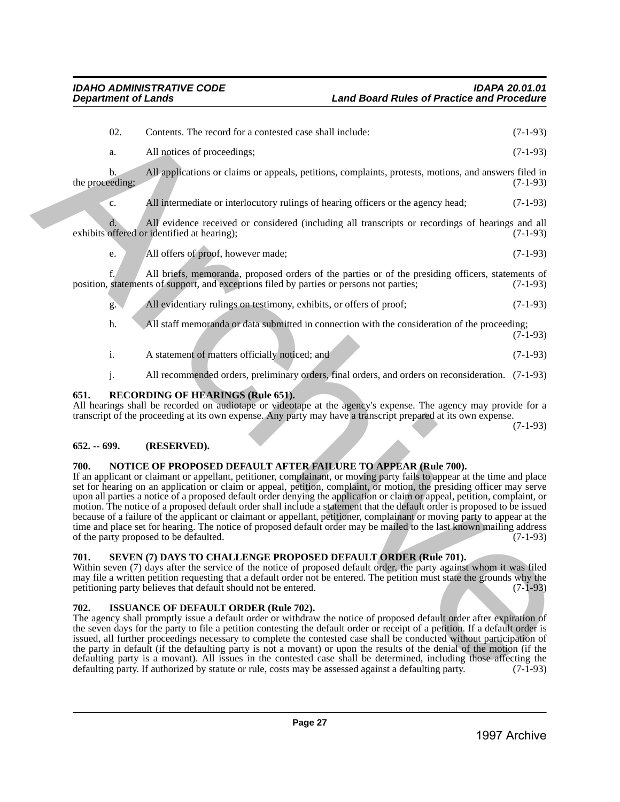| 702.            |                | <b>ISSUANCE OF DEFAULT ORDER (Rule 702).</b><br>The agency shall promptly issue a default order or withdraw the notice of proposed default order after expiration of<br>the seven days for the party to file a petition contesting the default order or receipt of a petition. If a default order is<br>issued, all further proceedings necessary to complete the contested case shall be conducted without participation of<br>the party in default (if the defaulting party is not a movant) or upon the results of the denial of the motion (if the<br>defaulting party is a movant). All issues in the contested case shall be determined, including those affecting the<br>defaulting party. If authorized by statute or rule, costs may be assessed against a defaulting party.                                                                                      | $(7-1-93)$ |
|-----------------|----------------|----------------------------------------------------------------------------------------------------------------------------------------------------------------------------------------------------------------------------------------------------------------------------------------------------------------------------------------------------------------------------------------------------------------------------------------------------------------------------------------------------------------------------------------------------------------------------------------------------------------------------------------------------------------------------------------------------------------------------------------------------------------------------------------------------------------------------------------------------------------------------|------------|
| 701.            |                | SEVEN (7) DAYS TO CHALLENGE PROPOSED DEFAULT ORDER (Rule 701).<br>Within seven (7) days after the service of the notice of proposed default order, the party against whom it was filed<br>may file a written petition requesting that a default order not be entered. The petition must state the grounds why the<br>petitioning party believes that default should not be entered.                                                                                                                                                                                                                                                                                                                                                                                                                                                                                        | $(7-1-93)$ |
| 700.            |                | NOTICE OF PROPOSED DEFAULT AFTER FAILURE TO APPEAR (Rule 700).<br>If an applicant or claimant or appellant, petitioner, complainant, or moving party fails to appear at the time and place<br>set for hearing on an application or claim or appeal, petition, complaint, or motion, the presiding officer may serve<br>upon all parties a notice of a proposed default order denying the application or claim or appeal, petition, complaint, or<br>motion. The notice of a proposed default order shall include a statement that the default order is proposed to be issued<br>because of a failure of the applicant or claimant or appellant, petitioner, complainant or moving party to appear at the<br>time and place set for hearing. The notice of proposed default order may be mailed to the last known mailing address<br>of the party proposed to be defaulted. | $(7-1-93)$ |
| $652. - 699.$   |                | (RESERVED).                                                                                                                                                                                                                                                                                                                                                                                                                                                                                                                                                                                                                                                                                                                                                                                                                                                                |            |
| 651.            |                | <b>RECORDING OF HEARINGS (Rule 651).</b><br>All hearings shall be recorded on audiotape or videotape at the agency's expense. The agency may provide for a<br>transcript of the proceeding at its own expense. Any party may have a transcript prepared at its own expense.                                                                                                                                                                                                                                                                                                                                                                                                                                                                                                                                                                                                | $(7-1-93)$ |
|                 | j.             | All recommended orders, preliminary orders, final orders, and orders on reconsideration. (7-1-93)                                                                                                                                                                                                                                                                                                                                                                                                                                                                                                                                                                                                                                                                                                                                                                          |            |
|                 | $\mathbf{i}$ . | A statement of matters officially noticed; and                                                                                                                                                                                                                                                                                                                                                                                                                                                                                                                                                                                                                                                                                                                                                                                                                             | $(7-1-93)$ |
|                 | h.             | All staff memoranda or data submitted in connection with the consideration of the proceeding;                                                                                                                                                                                                                                                                                                                                                                                                                                                                                                                                                                                                                                                                                                                                                                              | $(7-1-93)$ |
|                 | g.             | All evidentiary rulings on testimony, exhibits, or offers of proof;                                                                                                                                                                                                                                                                                                                                                                                                                                                                                                                                                                                                                                                                                                                                                                                                        | $(7-1-93)$ |
|                 |                | All briefs, memoranda, proposed orders of the parties or of the presiding officers, statements of<br>position, statements of support, and exceptions filed by parties or persons not parties;                                                                                                                                                                                                                                                                                                                                                                                                                                                                                                                                                                                                                                                                              | $(7-1-93)$ |
|                 | e.             | All offers of proof, however made;                                                                                                                                                                                                                                                                                                                                                                                                                                                                                                                                                                                                                                                                                                                                                                                                                                         | $(7-1-93)$ |
|                 |                | All evidence received or considered (including all transcripts or recordings of hearings and all<br>exhibits offered or identified at hearing);                                                                                                                                                                                                                                                                                                                                                                                                                                                                                                                                                                                                                                                                                                                            | $(7-1-93)$ |
|                 | c.             | All intermediate or interlocutory rulings of hearing officers or the agency head;                                                                                                                                                                                                                                                                                                                                                                                                                                                                                                                                                                                                                                                                                                                                                                                          | $(7-1-93)$ |
| the proceeding; |                |                                                                                                                                                                                                                                                                                                                                                                                                                                                                                                                                                                                                                                                                                                                                                                                                                                                                            | $(7-1-93)$ |
|                 | a.<br>b.       | All notices of proceedings;<br>All applications or claims or appeals, petitions, complaints, protests, motions, and answers filed in                                                                                                                                                                                                                                                                                                                                                                                                                                                                                                                                                                                                                                                                                                                                       | $(7-1-93)$ |
|                 |                |                                                                                                                                                                                                                                                                                                                                                                                                                                                                                                                                                                                                                                                                                                                                                                                                                                                                            |            |

## <span id="page-26-1"></span><span id="page-26-0"></span>**652. -- 699. (RESERVED).**

## <span id="page-26-2"></span>**700. NOTICE OF PROPOSED DEFAULT AFTER FAILURE TO APPEAR (Rule 700).**

## <span id="page-26-3"></span>**701. SEVEN (7) DAYS TO CHALLENGE PROPOSED DEFAULT ORDER (Rule 701).**

## <span id="page-26-4"></span>**702. ISSUANCE OF DEFAULT ORDER (Rule 702).**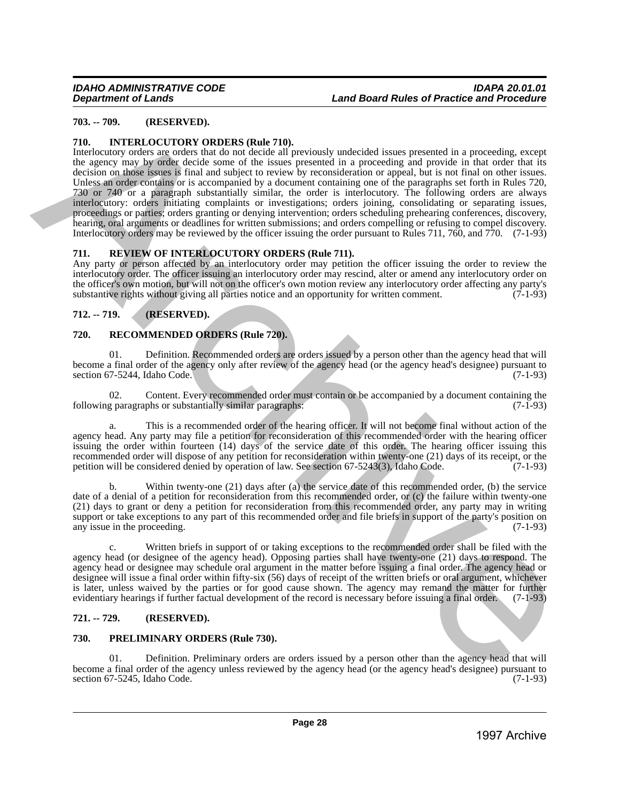## <span id="page-27-0"></span>**703. -- 709. (RESERVED).**

## <span id="page-27-1"></span>**710. INTERLOCUTORY ORDERS (Rule 710).**

Interlocutory orders are orders that do not decide all previously undecided issues presented in a proceeding, except the agency may by order decide some of the issues presented in a proceeding and provide in that order that its decision on those issues is final and subject to review by reconsideration or appeal, but is not final on other issues. Unless an order contains or is accompanied by a document containing one of the paragraphs set forth in Rules 720, 730 or 740 or a paragraph substantially similar, the order is interlocutory. The following orders are always interlocutory: orders initiating complaints or investigations; orders joining, consolidating or separating issues, proceedings or parties; orders granting or denying intervention; orders scheduling prehearing conferences, discovery, hearing, oral arguments or deadlines for written submissions; and orders compelling or refusing to compel discovery. Interlocutory orders may be reviewed by the officer issuing the order pursuant to Rules 711, 760, and 770. (7-1-93) 1997 - TO ... (GESERVED),<br>
1997 - TO ... (GESERVED) has the state of the control interesting interesting in a proceeding experimental control interesting in the state of the state of the state of the state of the state o

## <span id="page-27-2"></span>**711. REVIEW OF INTERLOCUTORY ORDERS (Rule 711).**

Any party or person affected by an interlocutory order may petition the officer issuing the order to review the interlocutory order. The officer issuing an interlocutory order may rescind, alter or amend any interlocutory order on the officer's own motion, but will not on the officer's own motion review any interlocutory order affecting any party's substantive rights without giving all parties notice and an opportunity for written comment. (7-1-93) substantive rights without giving all parties notice and an opportunity for written comment.

## <span id="page-27-3"></span>**712. -- 719. (RESERVED).**

## <span id="page-27-4"></span>**720. RECOMMENDED ORDERS (Rule 720).**

Definition. Recommended orders are orders issued by a person other than the agency head that will become a final order of the agency only after review of the agency head (or the agency head's designee) pursuant to section 67-5244, Idaho Code.

02. Content. Every recommended order must contain or be accompanied by a document containing the g paragraphs or substantially similar paragraphs: (7-1-93) following paragraphs or substantially similar paragraphs:

This is a recommended order of the hearing officer. It will not become final without action of the agency head. Any party may file a petition for reconsideration of this recommended order with the hearing officer issuing the order within fourteen (14) days of the service date of this order. The hearing officer issuing this recommended order will dispose of any petition for reconsideration within twenty-one (21) days of its receipt, or the petition will be considered denied by operation of law. See section 67-5243(3), Idaho Code. (7-1-93) petition will be considered denied by operation of law. See section 67-5243(3), Idaho Code.

Within twenty-one  $(21)$  days after (a) the service date of this recommended order, (b) the service date of a denial of a petition for reconsideration from this recommended order, or (c) the failure within twenty-one (21) days to grant or deny a petition for reconsideration from this recommended order, any party may in writing support or take exceptions to any part of this recommended order and file briefs in support of the party's position on<br>(7-1-93) any issue in the proceeding.

Written briefs in support of or taking exceptions to the recommended order shall be filed with the agency head (or designee of the agency head). Opposing parties shall have twenty-one (21) days to respond. The agency head or designee may schedule oral argument in the matter before issuing a final order. The agency head or designee will issue a final order within fifty-six (56) days of receipt of the written briefs or oral argument, whichever is later, unless waived by the parties or for good cause shown. The agency may remand the matter for further evidentiary hearings if further factual development of the record is necessary before issuing a final order. (7-1-93)

## <span id="page-27-5"></span>**721. -- 729. (RESERVED).**

## <span id="page-27-6"></span>**730. PRELIMINARY ORDERS (Rule 730).**

01. Definition. Preliminary orders are orders issued by a person other than the agency head that will become a final order of the agency unless reviewed by the agency head (or the agency head's designee) pursuant to section 67-5245, Idaho Code.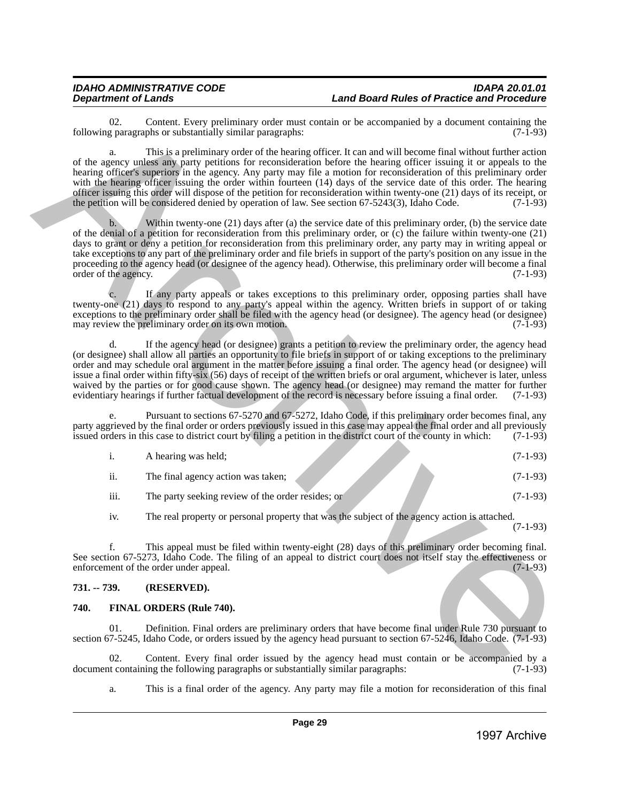02. Content. Every preliminary order must contain or be accompanied by a document containing the paragraphs or substantially similar paragraphs:  $(7-1-93)$ following paragraphs or substantially similar paragraphs:

a. This is a preliminary order of the hearing officer. It can and will become final without further action of the agency unless any party petitions for reconsideration before the hearing officer issuing it or appeals to the hearing officer's superiors in the agency. Any party may file a motion for reconsideration of this preliminary order with the hearing officer issuing the order within fourteen (14) days of the service date of this order. The hearing officer issuing this order will dispose of the petition for reconsideration within twenty-one (21) days of its receipt, or the petition will be considered denied by operation of law. See section 67-5243(3), Idaho Code. (7-1-93)

b. Within twenty-one (21) days after (a) the service date of this preliminary order, (b) the service date of the denial of a petition for reconsideration from this preliminary order, or (c) the failure within twenty-one (21) days to grant or deny a petition for reconsideration from this preliminary order, any party may in writing appeal or take exceptions to any part of the preliminary order and file briefs in support of the party's position on any issue in the proceeding to the agency head (or designee of the agency head). Otherwise, this preliminary order will become a final order of the agency. (7-1-93) order of the agency. 1997 Columnia between Markin singlet contain be accompanied by a documnic reduction (13-46)<br>
1997 Archives Archives Archives Archives Archives Archives Archives Archives Archives Archives Archives Archives Archives Archi

c. If any party appeals or takes exceptions to this preliminary order, opposing parties shall have twenty-one (21) days to respond to any party's appeal within the agency. Written briefs in support of or taking exceptions to the preliminary order shall be filed with the agency head (or designee). The agency head (or designee) may review the preliminary order on its own motion. (7-1-93)

d. If the agency head (or designee) grants a petition to review the preliminary order, the agency head (or designee) shall allow all parties an opportunity to file briefs in support of or taking exceptions to the preliminary order and may schedule oral argument in the matter before issuing a final order. The agency head (or designee) will issue a final order within fifty-six (56) days of receipt of the written briefs or oral argument, whichever is later, unless waived by the parties or for good cause shown. The agency head (or designee) may remand the matter for further evidentiary hearings if further factual development of the record is necessary before issuing a final order. (7-1-93)

Pursuant to sections 67-5270 and 67-5272, Idaho Code, if this preliminary order becomes final, any party aggrieved by the final order or orders previously issued in this case may appeal the final order and all previously issued orders in this case to district court by filing a petition in the district court of the count issued orders in this case to district court by filing a petition in the district court of the county in which:

|                  | A hearing was held;                               | $(7-1-93)$ |
|------------------|---------------------------------------------------|------------|
| $\cdot$ .<br>11. | The final agency action was taken;                | $(7-1-93)$ |
| $\cdots$<br>111. | The party seeking review of the order resides; or | (7-1-93)   |

iv. The real property or personal property that was the subject of the agency action is attached.

(7-1-93)

f. This appeal must be filed within twenty-eight (28) days of this preliminary order becoming final. See section 67-5273, Idaho Code. The filing of an appeal to district court does not itself stay the effectiveness or enforcement of the order under appeal. (7-1-93) enforcement of the order under appeal.

## <span id="page-28-0"></span>**731. -- 739. (RESERVED).**

## <span id="page-28-1"></span>**740. FINAL ORDERS (Rule 740).**

01. Definition. Final orders are preliminary orders that have become final under Rule 730 pursuant to section 67-5245, Idaho Code, or orders issued by the agency head pursuant to section 67-5246, Idaho Code. (7-1-93)

02. Content. Every final order issued by the agency head must contain or be accompanied by a net containing the following paragraphs or substantially similar paragraphs: (7-1-93) document containing the following paragraphs or substantially similar paragraphs:

a. This is a final order of the agency. Any party may file a motion for reconsideration of this final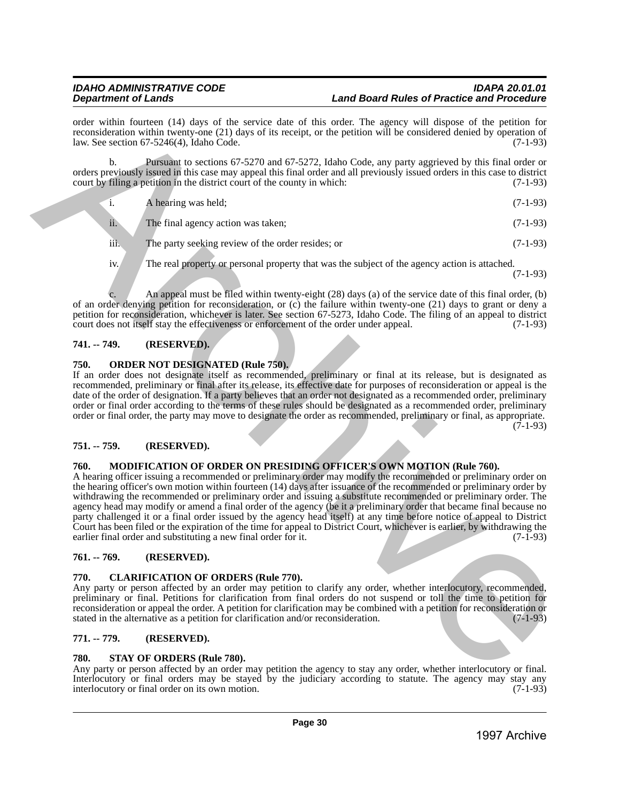order within fourteen (14) days of the service date of this order. The agency will dispose of the petition for reconsideration within twenty-one (21) days of its receipt, or the petition will be considered denied by operation of law. See section 67-5246(4), Idaho Code. (7-1-93)

b. Pursuant to sections 67-5270 and 67-5272, Idaho Code, any party aggrieved by this final order or orders previously issued in this case may appeal this final order and all previously issued orders in this case to district court by filing a petition in the district court of the county in which:

| A hearing was held; | $(7-1-93)$ |
|---------------------|------------|
|                     |            |

ii. The final agency action was taken; (7-1-93)

iii. The party seeking review of the order resides; or (7-1-93)

iv. The real property or personal property that was the subject of the agency action is attached.

(7-1-93)

An appeal must be filed within twenty-eight (28) days (a) of the service date of this final order, (b) of an order denying petition for reconsideration, or (c) the failure within twenty-one (21) days to grant or deny a petition for reconsideration, whichever is later. See section 67-5273, Idaho Code. The filing of an appeal to district court does not itself stay the effectiveness or enforcement of the order under appeal. (7-1-93)

## <span id="page-29-0"></span>**741. -- 749. (RESERVED).**

## <span id="page-29-1"></span>**750. ORDER NOT DESIGNATED (Rule 750).**

If an order does not designate itself as recommended, preliminary or final at its release, but is designated as recommended, preliminary or final after its release, its effective date for purposes of reconsideration or appeal is the date of the order of designation. If a party believes that an order not designated as a recommended order, preliminary order or final order according to the terms of these rules should be designated as a recommended order, preliminary order or final order, the party may move to designate the order as recommended, preliminary or final, as appropriate.

 $(7-1-93)$ 

## <span id="page-29-2"></span>**751. -- 759. (RESERVED).**

## <span id="page-29-3"></span>**760. MODIFICATION OF ORDER ON PRESIDING OFFICER'S OWN MOTION (Rule 760).**

A hearing officer issuing a recommended or preliminary order may modify the recommended or preliminary order on the hearing officer's own motion within fourteen (14) days after issuance of the recommended or preliminary order by withdrawing the recommended or preliminary order and issuing a substitute recommended or preliminary order. The agency head may modify or amend a final order of the agency (be it a preliminary order that became final because no party challenged it or a final order issued by the agency head itself) at any time before notice of appeal to District Court has been filed or the expiration of the time for appeal to District Court, whichever is earlier, by withdrawing the earlier final order and substituting a new final order for it. (7-1-93) wish content (i) they all the section of the section of the section of the section of the section of the section of the section of the section of the section of the section of the section of the section of the section o

## <span id="page-29-4"></span>**761. -- 769. (RESERVED).**

## <span id="page-29-5"></span>**770. CLARIFICATION OF ORDERS (Rule 770).**

Any party or person affected by an order may petition to clarify any order, whether interlocutory, recommended, preliminary or final. Petitions for clarification from final orders do not suspend or toll the time to petition for reconsideration or appeal the order. A petition for clarification may be combined with a petition for reconsideration or stated in the alternative as a petition for clarification and/or reconsideration.

## <span id="page-29-6"></span>**771. -- 779. (RESERVED).**

## <span id="page-29-7"></span>**780. STAY OF ORDERS (Rule 780).**

Any party or person affected by an order may petition the agency to stay any order, whether interlocutory or final. Interlocutory or final orders may be stayed by the judiciary according to statute. The agency may stay any interlocutory or final order on its own motion. (7-1-93) interlocutory or final order on its own motion.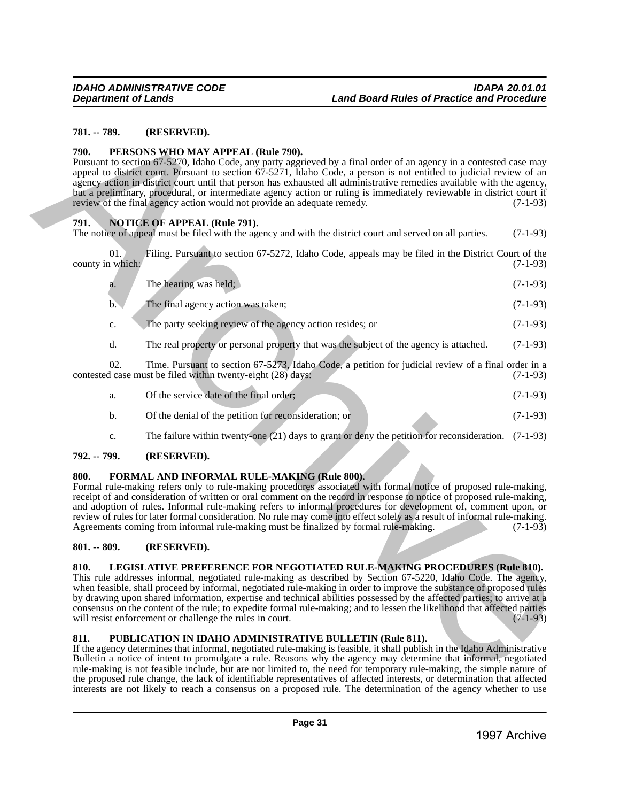## <span id="page-30-0"></span>**781. -- 789. (RESERVED).**

## <span id="page-30-1"></span>**790. PERSONS WHO MAY APPEAL (Rule 790).**

## <span id="page-30-2"></span>**791. NOTICE OF APPEAL (Rule 791).**

| 781. -- 789.  |                         | (RESERVED).                                                                                                                                                                                                                                                                                                                                                                                                                                                                                                                                                                                                                                                                       |            |
|---------------|-------------------------|-----------------------------------------------------------------------------------------------------------------------------------------------------------------------------------------------------------------------------------------------------------------------------------------------------------------------------------------------------------------------------------------------------------------------------------------------------------------------------------------------------------------------------------------------------------------------------------------------------------------------------------------------------------------------------------|------------|
| 790.          |                         | PERSONS WHO MAY APPEAL (Rule 790).<br>Pursuant to section 67-5270, Idaho Code, any party aggrieved by a final order of an agency in a contested case may<br>appeal to district court. Pursuant to section 67-5271, Idaho Code, a person is not entitled to judicial review of an<br>agency action in district court until that person has exhausted all administrative remedies available with the agency,<br>but a preliminary, procedural, or intermediate agency action or ruling is immediately reviewable in district court if<br>review of the final agency action would not provide an adequate remedy.                                                                    | $(7-1-93)$ |
| 791.          |                         | <b>NOTICE OF APPEAL (Rule 791).</b><br>The notice of appeal must be filed with the agency and with the district court and served on all parties.                                                                                                                                                                                                                                                                                                                                                                                                                                                                                                                                  | $(7-1-93)$ |
|               | 01.<br>county in which: | Filing. Pursuant to section 67-5272, Idaho Code, appeals may be filed in the District Court of the                                                                                                                                                                                                                                                                                                                                                                                                                                                                                                                                                                                | $(7-1-93)$ |
|               | a.                      | The hearing was held;                                                                                                                                                                                                                                                                                                                                                                                                                                                                                                                                                                                                                                                             | $(7-1-93)$ |
|               | b.                      | The final agency action was taken;                                                                                                                                                                                                                                                                                                                                                                                                                                                                                                                                                                                                                                                | $(7-1-93)$ |
|               | c.                      | The party seeking review of the agency action resides; or                                                                                                                                                                                                                                                                                                                                                                                                                                                                                                                                                                                                                         | $(7-1-93)$ |
|               | d.                      | The real property or personal property that was the subject of the agency is attached.                                                                                                                                                                                                                                                                                                                                                                                                                                                                                                                                                                                            | $(7-1-93)$ |
|               | 02.                     | Time. Pursuant to section 67-5273, Idaho Code, a petition for judicial review of a final order in a<br>contested case must be filed within twenty-eight (28) days:                                                                                                                                                                                                                                                                                                                                                                                                                                                                                                                | $(7-1-93)$ |
|               | a.                      | Of the service date of the final order;                                                                                                                                                                                                                                                                                                                                                                                                                                                                                                                                                                                                                                           | $(7-1-93)$ |
|               | $\mathbf{b}$ .          | Of the denial of the petition for reconsideration; or                                                                                                                                                                                                                                                                                                                                                                                                                                                                                                                                                                                                                             | $(7-1-93)$ |
|               | c.                      | The failure within twenty-one $(21)$ days to grant or deny the petition for reconsideration.                                                                                                                                                                                                                                                                                                                                                                                                                                                                                                                                                                                      | $(7-1-93)$ |
| 792. -- 799.  |                         | (RESERVED).                                                                                                                                                                                                                                                                                                                                                                                                                                                                                                                                                                                                                                                                       |            |
| 800.          |                         | FORMAL AND INFORMAL RULE-MAKING (Rule 800).<br>Formal rule-making refers only to rule-making procedures associated with formal notice of proposed rule-making,<br>receipt of and consideration of written or oral comment on the record in response to notice of proposed rule-making,<br>and adoption of rules. Informal rule-making refers to informal procedures for development of, comment upon, or<br>review of rules for later formal consideration. No rule may come into effect solely as a result of informal rule-making.<br>Agreements coming from informal rule-making must be finalized by formal rule-making.                                                      | $(7-1-93)$ |
| $801. - 809.$ |                         | (RESERVED).                                                                                                                                                                                                                                                                                                                                                                                                                                                                                                                                                                                                                                                                       |            |
| 810.          |                         | LEGISLATIVE PREFERENCE FOR NEGOTIATED RULE-MAKING PROCEDURES (Rule 810).<br>This rule addresses informal, negotiated rule-making as described by Section 67-5220, Idaho Code. The agency,<br>when feasible, shall proceed by informal, negotiated rule-making in order to improve the substance of proposed rules<br>by drawing upon shared information, expertise and technical abilities possessed by the affected parties; to arrive at a<br>consensus on the content of the rule; to expedite formal rule-making; and to lessen the likelihood that affected parties<br>will resist enforcement or challenge the rules in court.                                              | $(7-1-93)$ |
| 811.          |                         | PUBLICATION IN IDAHO ADMINISTRATIVE BULLETIN (Rule 811).<br>If the agency determines that informal, negotiated rule-making is feasible, it shall publish in the Idaho Administrative<br>Bulletin a notice of intent to promulgate a rule. Reasons why the agency may determine that informal, negotiated<br>rule-making is not feasible include, but are not limited to, the need for temporary rule-making, the simple nature of<br>the proposed rule change, the lack of identifiable representatives of affected interests, or determination that affected<br>interests are not likely to reach a consensus on a proposed rule. The determination of the agency whether to use |            |
|               |                         | Page 31                                                                                                                                                                                                                                                                                                                                                                                                                                                                                                                                                                                                                                                                           |            |
|               |                         | 1997 Archive                                                                                                                                                                                                                                                                                                                                                                                                                                                                                                                                                                                                                                                                      |            |

| Of the service date of the final order;               | $(7-1-93)$ |
|-------------------------------------------------------|------------|
| Of the denial of the petition for reconsideration; or | $(7-1-93)$ |

## <span id="page-30-3"></span>**792. -- 799. (RESERVED).**

## <span id="page-30-4"></span>**800. FORMAL AND INFORMAL RULE-MAKING (Rule 800).**

## <span id="page-30-5"></span>**801. -- 809. (RESERVED).**

## <span id="page-30-6"></span>**810. LEGISLATIVE PREFERENCE FOR NEGOTIATED RULE-MAKING PROCEDURES (Rule 810).**

## <span id="page-30-7"></span>**811. PUBLICATION IN IDAHO ADMINISTRATIVE BULLETIN (Rule 811).**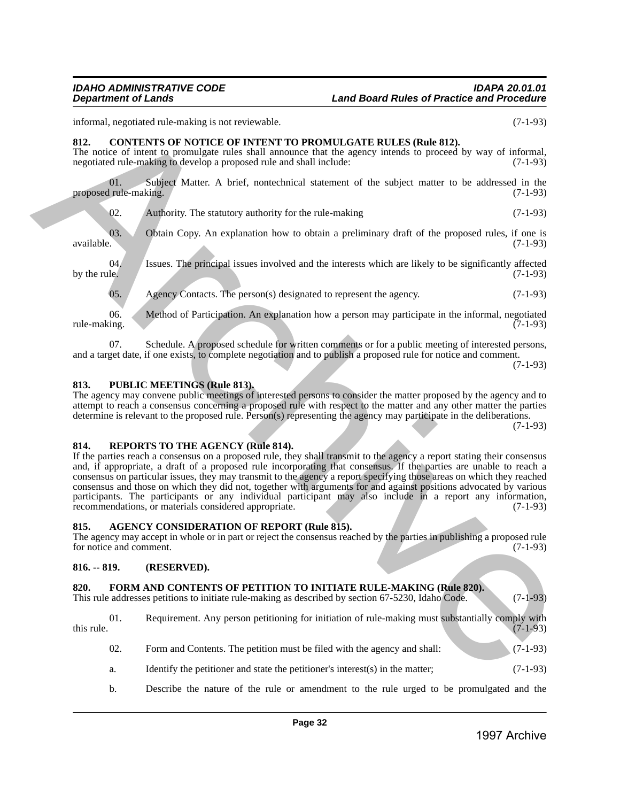## *IDAHO ADMINISTRATIVE CODE IDAPA 20.01.01* **Land Board Rules of Practice and Procedure**

informal, negotiated rule-making is not reviewable. (7-1-93)

## <span id="page-31-0"></span>**812. CONTENTS OF NOTICE OF INTENT TO PROMULGATE RULES (Rule 812).**

The notice of intent to promulgate rules shall announce that the agency intends to proceed by way of informal, negotiated rule-making to develop a proposed rule and shall include: (7-1-93)

01. Subject Matter. A brief, nontechnical statement of the subject matter to be addressed in the rule-making. (7-1-93) proposed rule-making.

02. Authority. The statutory authority for the rule-making (7-1-93)

03. Obtain Copy. An explanation how to obtain a preliminary draft of the proposed rules, if one is available. (7-1-93) available. (7-1-93)

04. Issues. The principal issues involved and the interests which are likely to be significantly affected by the rule. (7-1-93) by the rule.  $(7-1-93)$ 

05. Agency Contacts. The person(s) designated to represent the agency.  $(7-1-93)$ 

06. Method of Participation. An explanation how a person may participate in the informal, negotiated ing. rule-making. (7-1-93)

07. Schedule. A proposed schedule for written comments or for a public meeting of interested persons, and a target date, if one exists, to complete negotiation and to publish a proposed rule for notice and comment.

(7-1-93)

## <span id="page-31-1"></span>**813. PUBLIC MEETINGS (Rule 813).**

The agency may convene public meetings of interested persons to consider the matter proposed by the agency and to attempt to reach a consensus concerning a proposed rule with respect to the matter and any other matter the parties determine is relevant to the proposed rule. Person(s) representing the agency may participate in the deliberations.

(7-1-93)

## <span id="page-31-2"></span>**814. REPORTS TO THE AGENCY (Rule 814).**

If the parties reach a consensus on a proposed rule, they shall transmit to the agency a report stating their consensus and, if appropriate, a draft of a proposed rule incorporating that consensus. If the parties are unable to reach a consensus on particular issues, they may transmit to the agency a report specifying those areas on which they reached consensus and those on which they did not, together with arguments for and against positions advocated by various participants. The participants or any individual participant may also include in a report any information, recommendations, or materials considered appropriate. (7-1-93) internal, any method internality is not everywhethed by the spin state in the spin state. The spin state is the spin state of the spin state of the spin state of the spin state of the spin state of the spin state of the s

## <span id="page-31-3"></span>**815. AGENCY CONSIDERATION OF REPORT (Rule 815).**

The agency may accept in whole or in part or reject the consensus reached by the parties in publishing a proposed rule for notice and comment. (7-1-93)

## <span id="page-31-4"></span>**816. -- 819. (RESERVED).**

## <span id="page-31-5"></span>**820. FORM AND CONTENTS OF PETITION TO INITIATE RULE-MAKING (Rule 820).**

This rule addresses petitions to initiate rule-making as described by section 67-5230, Idaho Code. (7-1-93)

01. Requirement. Any person petitioning for initiation of rule-making must substantially comply with (7-1-93) this rule.  $(7-1-93)$ 

- 02. Form and Contents. The petition must be filed with the agency and shall: (7-1-93)
- a. Identify the petitioner and state the petitioner's interest(s) in the matter; (7-1-93)
- b. Describe the nature of the rule or amendment to the rule urged to be promulgated and the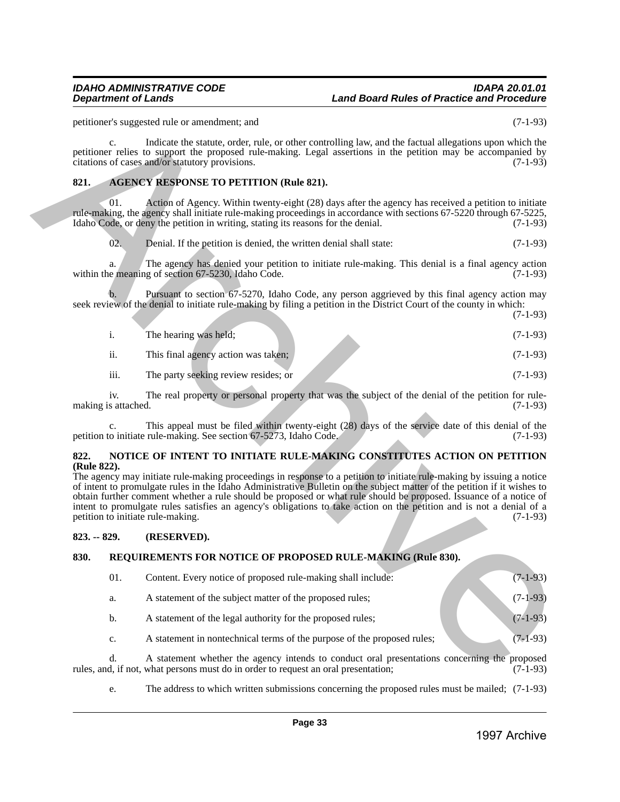## <span id="page-32-0"></span>**821. AGENCY RESPONSE TO PETITION (Rule 821).**

|                     | The hearing was held;                | $(7-1-93)$ |
|---------------------|--------------------------------------|------------|
| $\cdot\cdot$<br>11. | This final agency action was taken;  | $(7-1-93)$ |
| iii.                | The party seeking review resides; or | $(7-1-93)$ |

## <span id="page-32-1"></span>**822. NOTICE OF INTENT TO INITIATE RULE-MAKING CONSTITUTES ACTION ON PETITION (Rule 822).**

## <span id="page-32-2"></span>**823. -- 829. (RESERVED).**

## <span id="page-32-3"></span>**830. REQUIREMENTS FOR NOTICE OF PROPOSED RULE-MAKING (Rule 830).**

| petitioner's suggested rule or amendment; and |                            |                                                                                                                                                                                                                                                                                                                                                                                                                                                                                                                                                                                                                |              |  |  |
|-----------------------------------------------|----------------------------|----------------------------------------------------------------------------------------------------------------------------------------------------------------------------------------------------------------------------------------------------------------------------------------------------------------------------------------------------------------------------------------------------------------------------------------------------------------------------------------------------------------------------------------------------------------------------------------------------------------|--------------|--|--|
|                                               | $c_{\cdot}$                | Indicate the statute, order, rule, or other controlling law, and the factual allegations upon which the<br>petitioner relies to support the proposed rule-making. Legal assertions in the petition may be accompanied by<br>citations of cases and/or statutory provisions.                                                                                                                                                                                                                                                                                                                                    | $(7-1-93)$   |  |  |
| 821.                                          |                            | <b>AGENCY RESPONSE TO PETITION (Rule 821).</b>                                                                                                                                                                                                                                                                                                                                                                                                                                                                                                                                                                 |              |  |  |
|                                               | 01.                        | Action of Agency. Within twenty-eight (28) days after the agency has received a petition to initiate<br>rule-making, the agency shall initiate rule-making proceedings in accordance with sections 67-5220 through 67-5225,<br>Idaho Code, or deny the petition in writing, stating its reasons for the denial.                                                                                                                                                                                                                                                                                                | $(7-1-93)$   |  |  |
|                                               | 02.                        | Denial. If the petition is denied, the written denial shall state:                                                                                                                                                                                                                                                                                                                                                                                                                                                                                                                                             | $(7-1-93)$   |  |  |
|                                               |                            | The agency has denied your petition to initiate rule-making. This denial is a final agency action<br>within the meaning of section 67-5230, Idaho Code.                                                                                                                                                                                                                                                                                                                                                                                                                                                        | $(7-1-93)$   |  |  |
|                                               | $\mathbf b$ .              | Pursuant to section 67-5270, Idaho Code, any person aggrieved by this final agency action may<br>seek review of the denial to initiate rule-making by filing a petition in the District Court of the county in which:                                                                                                                                                                                                                                                                                                                                                                                          | $(7-1-93)$   |  |  |
|                                               | i.                         | The hearing was held;                                                                                                                                                                                                                                                                                                                                                                                                                                                                                                                                                                                          | $(7-1-93)$   |  |  |
|                                               | ii.                        | This final agency action was taken;                                                                                                                                                                                                                                                                                                                                                                                                                                                                                                                                                                            | $(7-1-93)$   |  |  |
|                                               | iii.                       | The party seeking review resides; or                                                                                                                                                                                                                                                                                                                                                                                                                                                                                                                                                                           | $(7-1-93)$   |  |  |
|                                               | iv.<br>making is attached. | The real property or personal property that was the subject of the denial of the petition for rule-                                                                                                                                                                                                                                                                                                                                                                                                                                                                                                            | $(7-1-93)$   |  |  |
|                                               | $\mathbf{c}$ .             | This appeal must be filed within twenty-eight (28) days of the service date of this denial of the<br>petition to initiate rule-making. See section 67-5273, Idaho Code.                                                                                                                                                                                                                                                                                                                                                                                                                                        | $(7-1-93)$   |  |  |
| 822.<br>(Rule 822).                           |                            | NOTICE OF INTENT TO INITIATE RULE-MAKING CONSTITUTES ACTION ON PETITION<br>The agency may initiate rule-making proceedings in response to a petition to initiate rule-making by issuing a notice<br>of intent to promulgate rules in the Idaho Administrative Bulletin on the subject matter of the petition if it wishes to<br>obtain further comment whether a rule should be proposed or what rule should be proposed. Issuance of a notice of<br>intent to promulgate rules satisfies an agency's obligations to take action on the petition and is not a denial of a<br>petition to initiate rule-making. | $(7-1-93)$   |  |  |
| $823. - 829.$                                 |                            | (RESERVED).                                                                                                                                                                                                                                                                                                                                                                                                                                                                                                                                                                                                    |              |  |  |
| 830.                                          |                            | REQUIREMENTS FOR NOTICE OF PROPOSED RULE-MAKING (Rule 830).                                                                                                                                                                                                                                                                                                                                                                                                                                                                                                                                                    |              |  |  |
|                                               | 01.                        | Content. Every notice of proposed rule-making shall include:                                                                                                                                                                                                                                                                                                                                                                                                                                                                                                                                                   | $(7-1-93)$   |  |  |
|                                               | a.                         | A statement of the subject matter of the proposed rules;                                                                                                                                                                                                                                                                                                                                                                                                                                                                                                                                                       | $(7-1-93)$   |  |  |
|                                               | b.                         | A statement of the legal authority for the proposed rules;                                                                                                                                                                                                                                                                                                                                                                                                                                                                                                                                                     | $(7-1-93)$   |  |  |
|                                               | c.                         | A statement in nontechnical terms of the purpose of the proposed rules;                                                                                                                                                                                                                                                                                                                                                                                                                                                                                                                                        | $(7-1-93)$   |  |  |
|                                               | d.                         | A statement whether the agency intends to conduct oral presentations concerning the proposed<br>rules, and, if not, what persons must do in order to request an oral presentation;                                                                                                                                                                                                                                                                                                                                                                                                                             | $(7-1-93)$   |  |  |
|                                               | e.                         | The address to which written submissions concerning the proposed rules must be mailed; $(7-1-93)$                                                                                                                                                                                                                                                                                                                                                                                                                                                                                                              |              |  |  |
|                                               |                            | Page 33                                                                                                                                                                                                                                                                                                                                                                                                                                                                                                                                                                                                        |              |  |  |
|                                               |                            |                                                                                                                                                                                                                                                                                                                                                                                                                                                                                                                                                                                                                | 1997 Archive |  |  |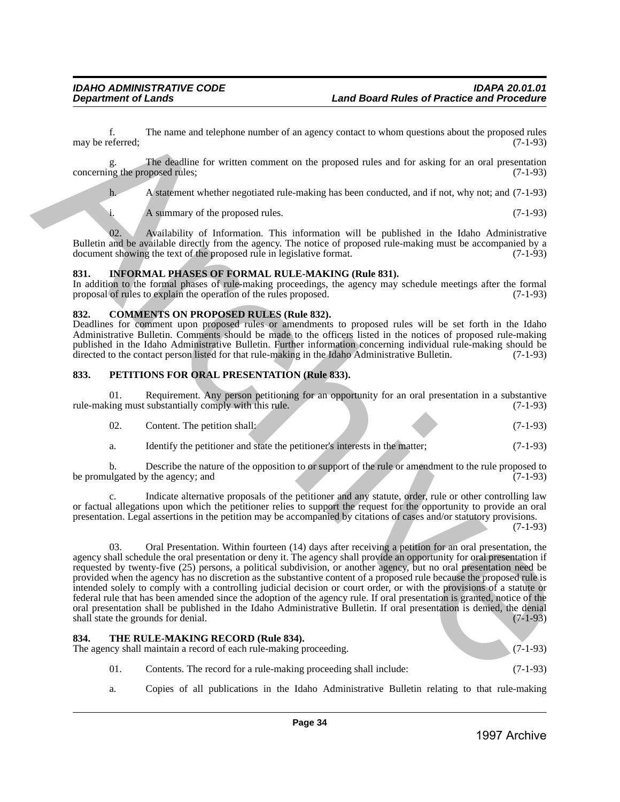f. The name and telephone number of an agency contact to whom questions about the proposed rules eferred: (7-1-93) may be referred;

g. The deadline for written comment on the proposed rules and for asking for an oral presentation concerning the proposed rules; (7-1-93)

h. A statement whether negotiated rule-making has been conducted, and if not, why not; and (7-1-93)

i. A summary of the proposed rules. (7-1-93)

02. Availability of Information. This information will be published in the Idaho Administrative Bulletin and be available directly from the agency. The notice of proposed rule-making must be accompanied by a document showing the text of the proposed rule in legislative format. (7-1-93) document showing the text of the proposed rule in legislative format.

## <span id="page-33-0"></span>**831. INFORMAL PHASES OF FORMAL RULE-MAKING (Rule 831).**

In addition to the formal phases of rule-making proceedings, the agency may schedule meetings after the formal proposal of rules to explain the operation of the rules proposed. (7-1-93) proposal of rules to explain the operation of the rules proposed.

## <span id="page-33-1"></span>**832. COMMENTS ON PROPOSED RULES (Rule 832).**

Deadlines for comment upon proposed rules or amendments to proposed rules will be set forth in the Idaho Administrative Bulletin. Comments should be made to the officers listed in the notices of proposed rule-making published in the Idaho Administrative Bulletin. Further information concerning individual rule-making should be directed to the contact person listed for that rule-making in the Idaho Administrative Bulletin. (7-1-93) directed to the contact person listed for that rule-making in the Idaho Administrative Bulletin.

## <span id="page-33-2"></span>**833. PETITIONS FOR ORAL PRESENTATION (Rule 833).**

01. Requirement. Any person petitioning for an opportunity for an oral presentation in a substantive ing must substantially comply with this rule. (7-1-93) rule-making must substantially comply with this rule.

| 02. | Content. The petition shall: |  |  |  | $(7-1-93)$ |
|-----|------------------------------|--|--|--|------------|
|     |                              |  |  |  |            |

a. Identify the petitioner and state the petitioner's interests in the matter; (7-1-93)

b. Describe the nature of the opposition to or support of the rule or amendment to the rule proposed to ulgated by the agency; and (7-1-93) be promulgated by the agency; and

c. Indicate alternative proposals of the petitioner and any statute, order, rule or other controlling law or factual allegations upon which the petitioner relies to support the request for the opportunity to provide an oral presentation. Legal assertions in the petition may be accompanied by citations of cases and/or statutory provisions.

 $(7-1-93)$ 

03. Oral Presentation. Within fourteen (14) days after receiving a petition for an oral presentation, the agency shall schedule the oral presentation or deny it. The agency shall provide an opportunity for oral presentation if requested by twenty-five (25) persons, a political subdivision, or another agency, but no oral presentation need be provided when the agency has no discretion as the substantive content of a proposed rule because the proposed rule is intended solely to comply with a controlling judicial decision or court order, or with the provisions of a statute or federal rule that has been amended since the adoption of the agency rule. If oral presentation is granted, notice of the oral presentation shall be published in the Idaho Administrative Bulletin. If oral presentation is denied, the denial shall state the grounds for denial. (7-1-93) shall state the grounds for denial. Equivalent increases and between marker of no necesy control to when questions shown in perpendicular procedure and the proposition of the matter of the matter of the matter of the matter of the matter of the matter of th

<span id="page-33-3"></span>

| 834.<br>THE RULE-MAKING RECORD (Rule 834).                         |            |
|--------------------------------------------------------------------|------------|
| The agency shall maintain a record of each rule-making proceeding. | $(7-1-93)$ |
|                                                                    |            |

- 01. Contents. The record for a rule-making proceeding shall include: (7-1-93)
- a. Copies of all publications in the Idaho Administrative Bulletin relating to that rule-making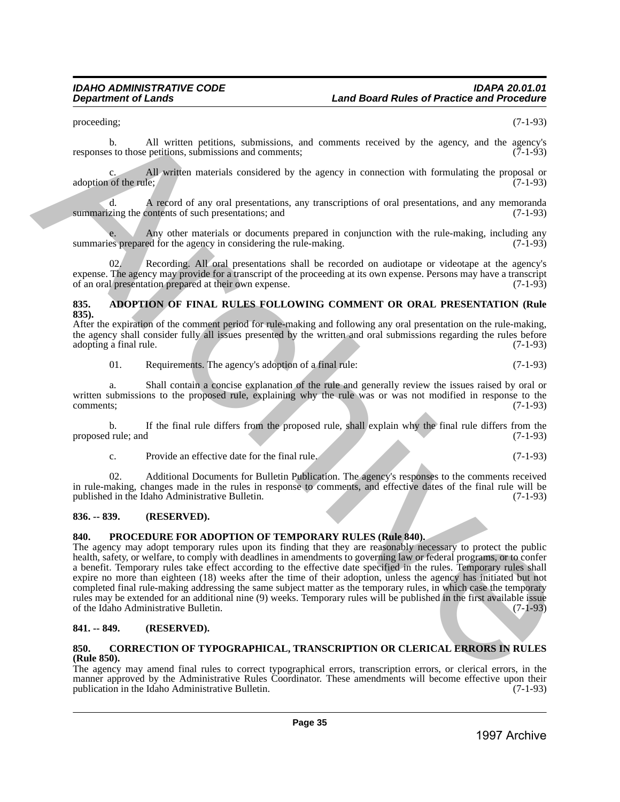proceeding;  $(7-1-93)$ 

b. All written petitions, submissions, and comments received by the agency, and the agency's s to those petitions, submissions and comments: (7-1-93) responses to those petitions, submissions and comments;

All written materials considered by the agency in connection with formulating the proposal or  $(7-1-93)$ adoption of the rule;

d. A record of any oral presentations, any transcriptions of oral presentations, and any memoranda summarizing the contents of such presentations; and (7-1-93)

Any other materials or documents prepared in conjunction with the rule-making, including any ed for the agency in considering the rule-making.  $(7-1-93)$ summaries prepared for the agency in considering the rule-making.

02. Recording. All oral presentations shall be recorded on audiotape or videotape at the agency's expense. The agency may provide for a transcript of the proceeding at its own expense. Persons may have a transcript of an oral presentation prepared at their own expense. of an oral presentation prepared at their own expense.

## <span id="page-34-0"></span>**835. ADOPTION OF FINAL RULES FOLLOWING COMMENT OR ORAL PRESENTATION (Rule 835).**

After the expiration of the comment period for rule-making and following any oral presentation on the rule-making, the agency shall consider fully all issues presented by the written and oral submissions regarding the rules before adopting a final rule. (7-1-93) adopting a final rule.

01. Requirements. The agency's adoption of a final rule: (7-1-93)

a. Shall contain a concise explanation of the rule and generally review the issues raised by oral or written submissions to the proposed rule, explaining why the rule was or was not modified in response to the comments; (7-1-93) comments; (7-1-93)

b. If the final rule differs from the proposed rule, shall explain why the final rule differs from the proposed rule; and

c. Provide an effective date for the final rule. (7-1-93)

02. Additional Documents for Bulletin Publication. The agency's responses to the comments received in rule-making, changes made in the rules in response to comments, and effective dates of the final rule will be published in the Idaho Administrative Bulletin.

## <span id="page-34-1"></span>**836. -- 839. (RESERVED).**

## <span id="page-34-2"></span>**840. PROCEDURE FOR ADOPTION OF TEMPORARY RULES (Rule 840).**

The agency may adopt temporary rules upon its finding that they are reasonably necessary to protect the public health, safety, or welfare, to comply with deadlines in amendments to governing law or federal programs, or to confer a benefit. Temporary rules take effect according to the effective date specified in the rules. Temporary rules shall expire no more than eighteen (18) weeks after the time of their adoption, unless the agency has initiated but not completed final rule-making addressing the same subject matter as the temporary rules, in which case the temporary rules may be extended for an additional nine (9) weeks. Temporary rules will be published in the first available issue of the Idaho Administrative Bulletin. (7-1-93) posecondo to  $\mu$  (3) of the state of the state of the state of the state of the state of the state of the state of the state of the state of the state of the state of the state of the state of the state of the state of t

## <span id="page-34-3"></span>**841. -- 849. (RESERVED).**

## <span id="page-34-4"></span>**850. CORRECTION OF TYPOGRAPHICAL, TRANSCRIPTION OR CLERICAL ERRORS IN RULES (Rule 850).**

The agency may amend final rules to correct typographical errors, transcription errors, or clerical errors, in the manner approved by the Administrative Rules Coordinator. These amendments will become effective upon their publication in the Idaho Administrative Bulletin. (7-1-93) publication in the Idaho Administrative Bulletin.